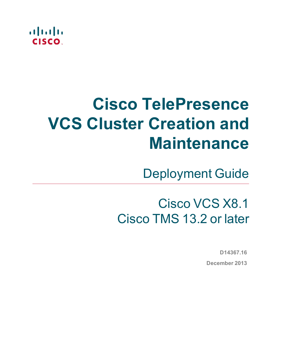

# **Cisco TelePresence VCS Cluster Creation and Maintenance**

Deployment Guide

# Cisco VCS X8.1 Cisco TMS 13.2 or later

**D14367.16 December 2013**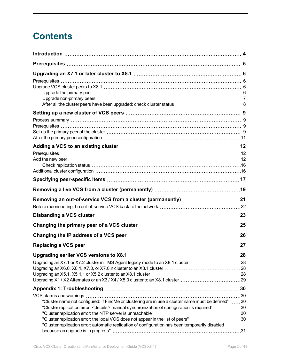## **Contents**

| Adding a VCS to an existing cluster ……………………………………………………………12                                              |     |
|------------------------------------------------------------------------------------------------------------|-----|
|                                                                                                            |     |
|                                                                                                            |     |
|                                                                                                            |     |
|                                                                                                            |     |
|                                                                                                            |     |
|                                                                                                            |     |
|                                                                                                            |     |
|                                                                                                            |     |
|                                                                                                            |     |
|                                                                                                            |     |
|                                                                                                            |     |
|                                                                                                            | .27 |
|                                                                                                            |     |
| Upgrading an X7.1 or X7.2 cluster in TMS Agent legacy mode to an X8.1 cluster 28                           |     |
|                                                                                                            |     |
|                                                                                                            |     |
| Upgrading X1 / X2 Alternates or an X3 / X4 / X5.0 cluster to an X8.1 cluster 29                            |     |
|                                                                                                            |     |
|                                                                                                            |     |
| "Cluster name not configured: if FindMe or clustering are in use a cluster name must be defined" 30        |     |
| 030 "Cluster replication error: <details> manual synchronization of configuration is required"30</details> |     |
|                                                                                                            |     |
| "Cluster replication error: the local VCS does not appear in the list of peers" 30                         |     |
| "Cluster replication error: automatic replication of configuration has been temporarily disabled           |     |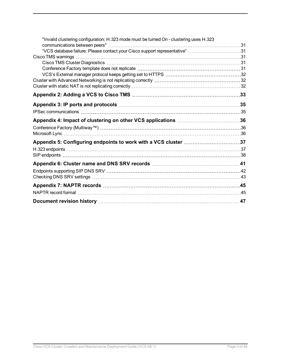| "Invalid clustering configuration: H.323 mode must be turned On - clustering uses H.323 |  |
|-----------------------------------------------------------------------------------------|--|
| "VCS database failure: Please contact your Cisco support representative" 31             |  |
|                                                                                         |  |
|                                                                                         |  |
|                                                                                         |  |
|                                                                                         |  |
|                                                                                         |  |
|                                                                                         |  |
|                                                                                         |  |
|                                                                                         |  |
|                                                                                         |  |
|                                                                                         |  |
|                                                                                         |  |
|                                                                                         |  |
|                                                                                         |  |
|                                                                                         |  |
|                                                                                         |  |
|                                                                                         |  |
|                                                                                         |  |
|                                                                                         |  |
|                                                                                         |  |
|                                                                                         |  |
|                                                                                         |  |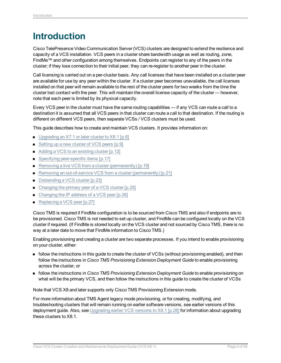## <span id="page-3-0"></span>**Introduction**

Cisco TelePresence Video Communication Server (VCS) clusters are designed to extend the resilience and capacity of a VCS installation. VCS peers in a cluster share bandwidth usage as well as routing, zone, FindMe™ and other configuration among themselves. Endpoints can register to any of the peers in the cluster; if they lose connection to their initial peer, they can re-register to another peer in the cluster.

Call licensing is carried out on a per-cluster basis. Any call licenses that have been installed on a cluster peer are available for use by any peer within the cluster. If a cluster peer becomes unavailable, the call licenses installed on that peer will remain available to the rest of the cluster peers for two weeks from the time the cluster lost contact with the peer. This will maintain the overall license capacity of the cluster — however, note that each peer is limited by its physical capacity.

Every VCS peer in the cluster must have the same routing capabilities — if any VCS can route a call to a destination it is assumed that all VCS peers in that cluster can route a call to that destination. If the routing is different on different VCS peers, then separate VCSs / VCS clusters must be used.

This guide describes how to create and maintain VCS clusters. It provides information on:

- $\blacksquare$  [Upgrading](#page-5-0) an X7.1 or later cluster to X8.1 [p.6]
- Setting up a new cluster of [VCS peers](#page-8-0) [p.9]
- Adding a VCS to an [existing](#page-11-0) cluster [p.12]
- Specifying [peer-specific](#page-16-0) items [p.17]
- Removing a live VCS from a cluster [\(permanently\)](#page-18-0) [p.19]
- Removing an out-of-service VCS from a cluster [\(permanently\)](#page-20-0) [p.21]
- Disbanding a [VCS cluster](#page-22-0) [p.23]
- Changing the primary peer of a [VCS cluster](#page-24-0)  $[p.25]$
- Changing the IP address of a [VCS peer](#page-25-0) [p.26]
- [Replacing](#page-26-0) a VCS peer [p.27]

Cisco TMS is required if FindMe configuration is to be sourced from Cisco TMS and also if endpoints are to be provisioned. Cisco TMS is not needed to set up cluster, and FindMe can be configured locally on the VCS cluster if required. (If FindMe is stored locally on the VCS cluster and not sourced by Cisco TMS, there is no way at a later date to move that FindMe information to Cisco TMS.)

Enabling provisioning and creating a cluster are two separate processes. If you intend to enable provisioning on your cluster, either:

- <sup>n</sup> follow the instructions in this guide to create the cluster of VCSs (without provisioning enabled), and then follow the instructions in *Cisco TMS Provisioning Extension Deployment Guide* to enable provisioning across the cluster, or
- <sup>n</sup> follow the instructions in *Cisco TMS Provisioning Extension Deployment Guide* to enable provisioning on what will be the primary VCS, and then follow the instructions in this guide to create the cluster of VCSs

Note that VCS X8 and later supports only Cisco TMS Provisioning Extension mode.

For more information about TMS Agent legacy mode provisioning, or for creating, modifying, and troubleshooting clusters that will remain running on earlier software versions, see earlier versions of this deployment guide. Also, see [Upgrading](#page-27-0) earlier VCS versions to X8.1 [p.28] for information about upgrading these clusters to X8.1.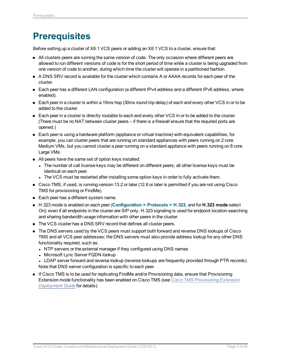## <span id="page-4-0"></span>**Prerequisites**

Before setting up a cluster of X8.1 VCS peers or adding an X8.1 VCS to a cluster, ensure that:

- n All clusters peers are running the same version of code. The only occasion where different peers are allowed to run different versions of code is for the short period of time while a cluster is being upgraded from one version of code to another, during which time the cluster will operate in a partitioned fashion.
- A DNS SRV record is available for the cluster which contains A or AAAA records for each peer of the cluster.
- Each peer has a different LAN configuration (a different IPv4 address and a different IPv6 address, where enabled).
- $\blacksquare$  Each peer in a cluster is within a 15ms hop (30ms round trip delay) of each and every other VCS in or to be added to the cluster.
- Each peer in a cluster is directly routable to each and every other VCS in or to be added to the cluster. (There must be no NAT between cluster peers – if there is a firewall ensure that the required ports are opened.)
- Each peer is using a hardware platform (appliance or virtual machine) with equivalent capabilities; for example, you can cluster peers that are running on standard appliances with peers running on 2 core Medium VMs, but you cannot cluster a peer running on a standard appliance with peers running on 8 core Large VMs.
- All peers have the same set of option keys installed:
	- The number of call license keys may be different on different peers; all other license keys must be identical on each peer.
	- The VCS must be restarted after installing some option keys in order to fully activate them.
- <sup>n</sup> Cisco TMS, if used, is running version 13.2 or later (12.6 or later is permitted if you are not using Cisco TMS for provisioning or FindMe).
- Each peer has a different system name.
- <sup>n</sup> H.323 mode is enabled on each peer (**Configuration > Protocols > H.323**, and for **H.323 mode** select *On*); even if all endpoints in the cluster are SIP only, H.323 signaling is used for endpoint location searching and sharing bandwidth usage information with other peers in the cluster.
- The VCS cluster has a DNS SRV record that defines all cluster peers.
- The DNS servers used by the VCS peers must support both forward and reverse DNS lookups of Cisco TMS and all VCS peer addresses; the DNS servers must also provide address lookup for any other DNS functionality required, such as:
	- NTP servers or the external manager if they configured using DNS names
	- Microsoft Lync Server FQDN lookup
	- LDAP server forward and reverse lookup (reverse lookups are frequently provided through PTR records). Note that DNS server configuration is specific to each peer.
- **n** If Cisco TMS is to be used for replicating FindMe and/or Provisioning data, ensure that Provisioning Extension mode functionality has been enabled on Cisco TMS (see *Cisco TMS [Provisioning](http://www.cisco.com/en/US/products/ps11338/products_installation_and_configuration_guides_list.html) Extension [Deployment](http://www.cisco.com/en/US/products/ps11338/products_installation_and_configuration_guides_list.html) Guide* for details).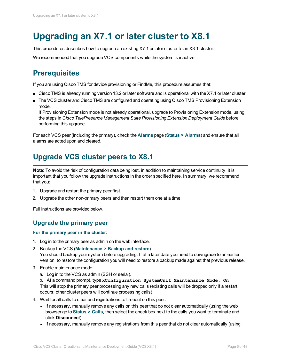## <span id="page-5-0"></span>**Upgrading an X7.1 or later cluster to X8.1**

This procedures describes how to upgrade an existing X7.1 or later cluster to an X8.1 cluster.

<span id="page-5-1"></span>We recommended that you upgrade VCS components while the system is inactive.

## **Prerequisites**

If you are using Cisco TMS for device provisioning or FindMe, this procedure assumes that:

- Cisco TMS is already running version 13.2 or later software and is operational with the X7.1 or later cluster.
- **n** The VCS cluster and Cisco TMS are configured and operating using Cisco TMS Provisioning Extension mode.

If Provisioning Extension mode is not already operational, upgrade to Provisioning Extension mode, using the steps in *Cisco TelePresence Management Suite Provisioning Extension Deployment Guide* before performing this upgrade.

For each VCS peer (including the primary), check the **Alarms** page (**Status > Alarms**) and ensure that all alarms are acted upon and cleared.

## <span id="page-5-2"></span>**Upgrade VCS cluster peers to X8.1**

**Note**: To avoid the risk of configuration data being lost, in addition to maintaining service continuity, it is important that you follow the upgrade instructions in the order specified here. In summary, we recommend that you:

- 1. Upgrade and restart the primary peer first.
- 2. Upgrade the other non-primary peers and then restart them one at a time.

<span id="page-5-3"></span>Full instructions are provided below.

### **Upgrade the primary peer**

#### **For the primary peer in the cluster:**

- 1. Log in to the primary peer as admin on the web interface.
- 2. Backup the VCS (**Maintenance > Backup and restore**). You should backup your system before upgrading. If at a later date you need to downgrade to an earlier version, to restore the configuration you will need to restore a backup made against that previous release.
- 3. Enable maintenance mode:
	- a. Log in to the VCS as admin (SSH or serial).

b. At a command prompt, type **xConfiguration SystemUnit Maintenance Mode: On** This will stop the primary peer processing any new calls (existing calls will be dropped only if a restart occurs; other cluster peers will continue processing calls)

- 4. Wait for all calls to clear and registrations to timeout on this peer.
	- If necessary, manually remove any calls on this peer that do not clear automatically (using the web browser go to **Status > Calls**, then select the check box next to the calls you want to terminate and click **Disconnect**).
	- If necessary, manually remove any registrations from this peer that do not clear automatically (using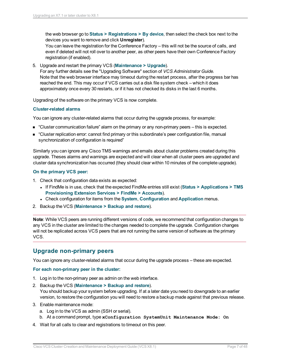the web browser go to **Status > Registrations > By device**, then select the check box next to the devices you want to remove and click **Unregister**).

You can leave the registration for the Conference Factory – this will not be the source of calls, and even if deleted will not roll over to another peer, as other peers have their own Conference Factory registration (if enabled).

5. Upgrade and restart the primary VCS (**Maintenance > Upgrade**).

For any further details see the "Upgrading Software" section of *VCS Administrator Guide.* Note that the web browser interface may timeout during the restart process, after the progress bar has reached the end. This may occur if VCS carries out a disk file system check – which it does approximately once every 30 restarts, or if it has not checked its disks in the last 6 months.

Upgrading of the software on the primary VCS is now complete.

#### **Cluster-related alarms**

You can ignore any cluster-related alarms that occur during the upgrade process, for example:

- $\blacksquare$  "Cluster communication failure" alarm on the primary or any non-primary peers this is expected.
- <sup>n</sup> "Cluster replication error: cannot find primary or this subordinate's peer configuration file, manual synchronization of configuration is required"

Similarly you can ignore any Cisco TMS warnings and emails about cluster problems created during this upgrade. Theses alarms and warnings are expected and will clear when all cluster peers are upgraded and cluster data synchronization has occurred (they should clear within 10 minutes of the complete upgrade).

#### **On the primary VCS peer:**

- 1. Check that configuration data exists as expected:
	- <sup>l</sup> If FindMe is in use, check that the expected FindMe entries still exist (**Status > Applications > TMS Provisioning Extension Services > FindMe > Accounts**).
	- <sup>l</sup> Check configuration for items from the **System**, **Configuration** and **Application** menus.
- 2. Backup the VCS (**Maintenance > Backup and restore**).

**Note**: While VCS peers are running different versions of code, we recommend that configuration changes to any VCS in the cluster are limited to the changes needed to complete the upgrade. Configuration changes will not be replicated across VCS peers that are not running the same version of software as the primary VCS.

#### <span id="page-6-0"></span>**Upgrade non-primary peers**

You can ignore any cluster-related alarms that occur during the upgrade process – these are expected.

#### **For each non-primary peer in the cluster:**

- 1. Log in to the non-primary peer as admin on the web interface.
- 2. Backup the VCS (**Maintenance > Backup and restore**). You should backup your system before upgrading. If at a later date you need to downgrade to an earlier version, to restore the configuration you will need to restore a backup made against that previous release.
- 3. Enable maintenance mode:
	- a. Log in to the VCS as admin (SSH or serial).
	- b. At a command prompt, type **xConfiguration SystemUnit Maintenance Mode: On**
- 4. Wait for all calls to clear and registrations to timeout on this peer.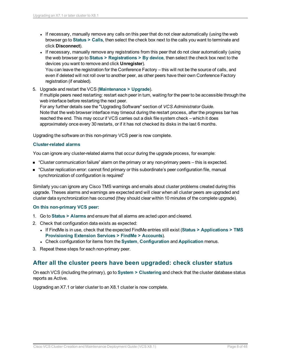- If necessary, manually remove any calls on this peer that do not clear automatically (using the web browser go to **Status > Calls**, then select the check box next to the calls you want to terminate and click **Disconnect**).
- If necessary, manually remove any registrations from this peer that do not clear automatically (using the web browser go to **Status > Registrations > By device**, then select the check box next to the devices you want to remove and click **Unregister**). You can leave the registration for the Conference Factory – this will not be the source of calls, and even if deleted will not roll over to another peer, as other peers have their own Conference Factory registration (if enabled).
- 5. Upgrade and restart the VCS (**Maintenance > Upgrade**).

If multiple peers need restarting: restart each peer in turn, waiting for the peer to be accessible through the web interface before restarting the next peer.

For any further details see the "Upgrading Software" section of *VCS Administrator Guide.* Note that the web browser interface may timeout during the restart process, after the progress bar has reached the end. This may occur if VCS carries out a disk file system check – which it does approximately once every 30 restarts, or if it has not checked its disks in the last 6 months.

Upgrading the software on this non-primary VCS peer is now complete.

#### **Cluster-related alarms**

You can ignore any cluster-related alarms that occur during the upgrade process, for example:

- "Cluster communication failure" alarm on the primary or any non-primary peers this is expected.
- <sup>n</sup> "Cluster replication error: cannot find primary or this subordinate's peer configuration file, manual synchronization of configuration is required"

Similarly you can ignore any Cisco TMS warnings and emails about cluster problems created during this upgrade. Theses alarms and warnings are expected and will clear when all cluster peers are upgraded and cluster data synchronization has occurred (they should clear within 10 minutes of the complete upgrade).

#### **On this non-primary VCS peer:**

- 1. Go to **Status > Alarms** and ensure that all alarms are acted upon and cleared.
- 2. Check that configuration data exists as expected:
	- <sup>l</sup> If FindMe is in use, check that the expected FindMe entries still exist (**Status > Applications > TMS Provisioning Extension Services > FindMe > Accounts**).
	- <sup>l</sup> Check configuration for items from the **System**, **Configuration** and **Application** menus.
- <span id="page-7-0"></span>3. Repeat these steps for each non-primary peer.

### **After all the cluster peers have been upgraded: check cluster status**

On each VCS (including the primary), go to **System > Clustering** and check that the cluster database status reports as Active.

Upgrading an X7.1 or later cluster to an X8.1 cluster is now complete.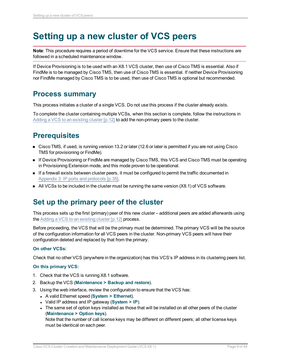## <span id="page-8-0"></span>**Setting up a new cluster of VCS peers**

**Note**: This procedure requires a period of downtime for the VCS service. Ensure that these instructions are followed in a scheduled maintenance window.

If Device Provisioning is to be used with an X8.1 VCS cluster, then use of Cisco TMS is essential. Also if FindMe is to be managed by Cisco TMS, then use of Cisco TMS is essential. If neither Device Provisioning nor FindMe managed by Cisco TMS is to be used, then use of Cisco TMS is optional but recommended.

### <span id="page-8-1"></span>**Process summary**

This process initiates a cluster of a single VCS. Do not use this process if the cluster already exists.

To complete the cluster containing multiple VCSs, when this section is complete, follow the instructions in Adding a VCS to an [existing](#page-11-0) cluster  $[p.12]$  to add the non-primary peers to the cluster.

## <span id="page-8-2"></span>**Prerequisites**

- <sup>n</sup> Cisco TMS, if used, is running version 13.2 or later (12.6 or later is permitted if you are not using Cisco TMS for provisioning or FindMe).
- If Device Provisioning or FindMe are managed by Cisco TMS, this VCS and Cisco TMS must be operating in Provisioning Extension mode, and this mode proven to be operational.
- **n** If a firewall exists between cluster peers, it must be configured to permit the traffic documented in [Appendix](#page-34-0) 3: IP ports and protocols [p.35].
- <span id="page-8-3"></span> $\blacksquare$  All VCSs to be included in the cluster must be running the same version (X8.1) of VCS software.

## **Set up the primary peer of the cluster**

This process sets up the first (primary) peer of this new cluster – additional peers are added afterwards using the Adding a VCS to an [existing](#page-11-0) cluster [p.12] process.

Before proceeding, the VCS that will be the primary must be determined. The primary VCS will be the source of the configuration information for all VCS peers in the cluster. Non-primary VCS peers will have their configuration deleted and replaced by that from the primary.

#### **On other VCSs:**

Check that no other VCS (anywhere in the organization) has this VCS's IP address in its clustering peers list.

#### **On this primary VCS:**

- 1. Check that the VCS is running X8.1 software.
- 2. Backup the VCS (**Maintenance > Backup and restore**).
- 3. Using the web interface, review the configuration to ensure that the VCS has:
	- <sup>l</sup> A valid Ethernet speed (**System > Ethernet**).
	- <sup>l</sup> Valid IP address and IP gateway (**System > IP**).
	- The same set of option keys installed as those that will be installed on all other peers of the cluster (**Maintenance > Option keys**).

Note that the number of call license keys may be different on different peers; all other license keys must be identical on each peer.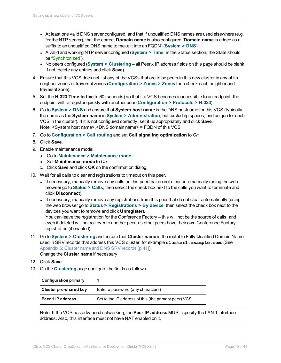- At least one valid DNS server configured, and that if unqualified DNS names are used elsewhere (e.g. for the NTP server), that the correct **Domain name** is also configured (**Domain name** is added as a suffix to an unqualified DNS name to make it into an FQDN) (**System > DNS**).
- A valid and working NTP server configured (System > Time; in the Status section, the State should be "Synchronized").
- <sup>l</sup> No peers configured (**System > Clustering** all Peer x IP address fields on this page should be blank. If not, delete any entries and click **Save**).
- 4. Ensure that this VCS does not list any of the VCSs that are to be peers in this new cluster in any of its neighbor zones or traversal zones (**Configuration > Zones > Zones** then check each neighbor and traversal zone).
- 5. Set the **H.323 Time to live** to 60 (seconds) so that if a VCS becomes inaccessible to an endpoint, the endpoint will re-register quickly with another peer (**Configuration > Protocols > H.323**).
- 6. Go to **System > DNS** and ensure that **System host name** is the DNS hostname for this VCS (typically the same as the **System name** in **System > Administration**, but excluding spaces, and unique for each VCS in the cluster). If it is not configured correctly, set it up appropriately and click **Save**. Note: <System host name>.<DNS domain name> = FQDN of this VCS
- 7. Go to **Configuration > Call routing** and set **Call signaling optimization** to *On*.
- 8. Click **Save**.
- 9. Enable maintenance mode:
	- a. Go to **Maintenance > Maintenance mode**.
	- b. Set **Maintenance mode** to *On*.
	- c. Click **Save** and click **OK** on the confirmation dialog.
- 10. Wait for all calls to clear and registrations to timeout on this peer.
	- If necessary, manually remove any calls on this peer that do not clear automatically (using the web browser go to **Status > Calls**, then select the check box next to the calls you want to terminate and click **Disconnect**).
	- If necessary, manually remove any registrations from this peer that do not clear automatically (using the web browser go to **Status > Registrations > By device**, then select the check box next to the devices you want to remove and click **Unregister**).

You can leave the registration for the Conference Factory – this will not be the source of calls, and even if deleted will not roll over to another peer, as other peers have their own Conference Factory registration (if enabled).

11. Go to **System > Clustering** and ensure that **Cluster name** is the routable Fully Qualified Domain Name used in SRV records that address this VCS cluster, for example **cluster1.example.com**. (See [Appendix](#page-40-0) 6: Cluster name and DNS SRV records [p.41]).

Change the **Cluster name** if necessary.

- 12. Click **Save**.
- 13. On the **Clustering** page configure the fields as follows:

| <b>Configuration primary</b> |                                                      |
|------------------------------|------------------------------------------------------|
| Cluster pre-shared key       | Enter a password (any characters)                    |
| Peer 1 IP address            | Set to the IP address of this (the primary peer) VCS |

Note: If the VCS has advanced networking, the **Peer IP address** MUST specify the LAN 1 interface address. Also, this interface must not have NAT enabled on it.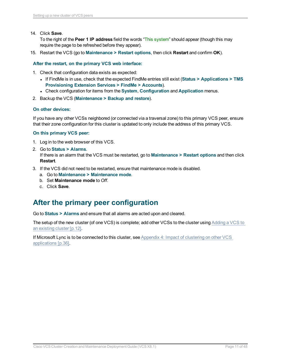14. Click **Save**.

To the right of the **Peer 1 IP address** field the words "This system" should appear (though this may require the page to be refreshed before they appear).

15. Restart the VCS (go to **Maintenance > Restart options**, then click **Restart** and confirm **OK**).

**After the restart, on the primary VCS web interface:**

- 1. Check that configuration data exists as expected:
	- <sup>l</sup> If FindMe is in use, check that the expected FindMe entries still exist (**Status > Applications > TMS Provisioning Extension Services > FindMe > Accounts**).
	- <sup>l</sup> Check configuration for items from the **System**, **Configuration** and **Application** menus.
- 2. Backup the VCS (**Maintenance > Backup and restore**).

#### **On other devices:**

If you have any other VCSs neighbored (or connected via a traversal zone) to this primary VCS peer, ensure that their zone configuration for this cluster is updated to only include the address of this primary VCS.

#### **On this primary VCS peer:**

- 1. Log in to the web browser of this VCS.
- 2. Go to **Status > Alarms**. If there is an alarm that the VCS must be restarted, go to **Maintenance > Restart options** and then click **Restart**.
- 3. If the VCS did not need to be restarted, ensure that maintenance mode is disabled.
	- a. Go to **Maintenance > Maintenance mode**.
	- b. Set **Maintenance mode** to *Off*.
	- c. Click **Save**.

### <span id="page-10-0"></span>**After the primary peer configuration**

Go to **Status > Alarms** and ensure that all alarms are acted upon and cleared.

The setup of the new cluster (of one VCS) is complete; add other VCSs to the cluster using [Adding](#page-11-0) a VCS to an [existing](#page-11-0) cluster [p.12].

If Microsoft Lync is to be connected to this cluster, see Appendix 4: Impact of [clustering](#page-35-0) on other VCS [applications](#page-35-0) [p.36].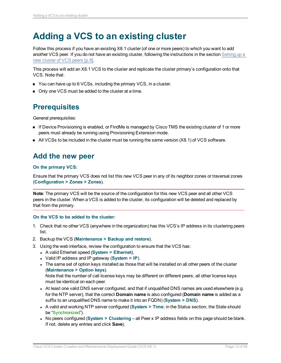## <span id="page-11-0"></span>**Adding a VCS to an existing cluster**

Follow this process if you have an existing X8.1 cluster (of one or more peers) to which you want to add another VCS peer. If you do not have an existing cluster, following the instructions in the section [Setting](#page-8-0) up a new cluster of [VCS peers](#page-8-0) [p.9].

This process will add an X8.1 VCS to the cluster and replicate the cluster primary's configuration onto that VCS. Note that:

- You can have up to 6 VCSs, including the primary VCS, in a cluster.
- <span id="page-11-1"></span>• Only one VCS must be added to the cluster at a time.

## **Prerequisites**

General prerequisites:

- **n** If Device Provisioning is enabled, or FindMe is managed by Cisco TMS the existing cluster of 1 or more peers must already be running using Provisioning Extension mode.
- <span id="page-11-2"></span> $\blacksquare$  All VCSs to be included in the cluster must be running the same version (X8.1) of VCS software.

### **Add the new peer**

#### **On the primary VCS:**

Ensure that the primary VCS does not list this new VCS peer in any of its neighbor zones or traversal zones (**Configuration > Zones > Zones**).

**Note**: The primary VCS will be the source of the configuration for this new VCS peer and all other VCS peers in the cluster. When a VCS is added to the cluster, its configuration will be deleted and replaced by that from the primary.

#### **On the VCS to be added to the cluster:**

- 1. Check that no other VCS (anywhere in the organization) has this VCS's IP address in its clustering peers list.
- 2. Backup the VCS (**Maintenance > Backup and restore**).
- 3. Using the web interface, review the configuration to ensure that the VCS has:
	- <sup>l</sup> A valid Ethernet speed (**System > Ethernet**).
	- <sup>l</sup> Valid IP address and IP gateway (**System > IP**).
	- The same set of option keys installed as those that will be installed on all other peers of the cluster (**Maintenance > Option keys**).

Note that the number of call license keys may be different on different peers; all other license keys must be identical on each peer.

- At least one valid DNS server configured, and that if unqualified DNS names are used elsewhere (e.g. for the NTP server), that the correct **Domain name** is also configured (**Domain name** is added as a suffix to an unqualified DNS name to make it into an FQDN) (**System > DNS**).
- A valid and working NTP server configured (System > Time; in the Status section, the State should be "Synchronized").
- <sup>l</sup> No peers configured (**System > Clustering** all Peer x IP address fields on this page should be blank. If not, delete any entries and click **Save**).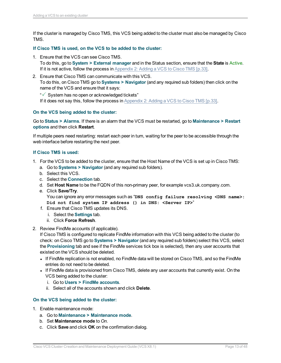If the cluster is managed by Cisco TMS, this VCS being added to the cluster must also be managed by Cisco TMS.

#### **If Cisco TMS is used, on the VCS to be added to the cluster:**

- 1. Ensure that the VCS can see Cisco TMS. To do this, go to **System > External manager** and in the Status section, ensure that the **State** is Active. If it is not active, follow the process in [Appendix](#page-32-0) 2: Adding a VCS to Cisco TMS [p.33].
- 2. Ensure that Cisco TMS can communicate with this VCS. To do this, on Cisco TMS go to **Systems > Navigator** (and any required sub folders) then click on the name of the VCS and ensure that it says:
	- " System has no open or acknowledged tickets"

If it does not say this, follow the process in [Appendix](#page-32-0) 2: Adding a VCS to Cisco TMS [p.33].

#### **On the VCS being added to the cluster:**

Go to **Status > Alarms**. If there is an alarm that the VCS must be restarted, go to **Maintenance > Restart options** and then click **Restart**.

If multiple peers need restarting: restart each peer in turn, waiting for the peer to be accessible through the web interface before restarting the next peer.

#### **If Cisco TMS is used:**

- 1. For the VCS to be added to the cluster, ensure that the Host Name of the VCS is set up in Cisco TMS:
	- a. Go to **Systems > Navigator** (and any required sub folders).
	- b. Select this VCS.
	- c. Select the **Connection** tab.
	- d. Set **Host Name** to be the FQDN of this non-primary peer, for example vcs3.uk.company.com.
	- e. Click **Save/Try**.

You can ignore any error messages such as "**DNS config failure resolving <DNS name>: Did not find system IP address () in DNS: <Server IP>**"

- f. Ensure that Cisco TMS updates its DNS.
	- i. Select the **Settings** tab.
	- ii. Click **Force Refresh**.
- 2. Review FindMe accounts (if applicable).

If Cisco TMS is configured to replicate FindMe information with this VCS being added to the cluster (to check: on Cisco TMS go to **Systems > Navigator** (and any required sub folders) select this VCS, select the **Provisioning** tab and see if the FindMe services tick box is selected), then any user accounts that existed on the VCS should be deleted.

- If FindMe replication is not enabled, no FindMe data will be stored on Cisco TMS, and so the FindMe entries do not need to be deleted.
- If FindMe data is provisioned from Cisco TMS, delete any user accounts that currently exist. On the VCS being added to the cluster:
	- i. Go to **Users > FindMe accounts**.
	- ii. Select all of the accounts shown and click **Delete**.

#### **On the VCS being added to the cluster:**

- 1. Enable maintenance mode:
	- a. Go to **Maintenance > Maintenance mode**.
	- b. Set **Maintenance mode** to *On*.
	- c. Click **Save** and click **OK** on the confirmation dialog.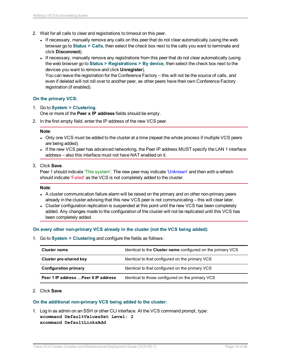- 2. Wait for all calls to clear and registrations to timeout on this peer.
	- If necessary, manually remove any calls on this peer that do not clear automatically (using the web browser go to **Status > Calls**, then select the check box next to the calls you want to terminate and click **Disconnect**).
	- If necessary, manually remove any registrations from this peer that do not clear automatically (using the web browser go to **Status > Registrations > By device**, then select the check box next to the devices you want to remove and click **Unregister**).

You can leave the registration for the Conference Factory – this will not be the source of calls, and even if deleted will not roll over to another peer, as other peers have their own Conference Factory registration (if enabled).

#### **On the primary VCS:**

1. Go to **System > Clustering**.

One or more of the **Peer x IP address** fields should be empty.

2. In the first empty field, enter the IP address of the new VCS peer.

#### **Note**:

- Only one VCS must be added to the cluster at a time (repeat the whole process if multiple VCS peers are being added).
- If the new VCS peer has advanced networking, the Peer IP address MUST specify the LAN 1 interface address – also this interface must not have NAT enabled on it.
- 3. Click **Save**.

Peer 1 should indicate 'This system'. The new peer may indicate 'Unknown' and then with a refresh should indicate 'Failed' as the VCS is not completely added to the cluster.

#### **Note**:

- A cluster communication failure alarm will be raised on the primary and on other non-primary peers already in the cluster advising that this new VCS peer is not communicating – this will clear later.
- Cluster configuration replication is suspended at this point until the new VCS has been completely added. Any changes made to the configuration of the cluster will not be replicated until this VCS has been completely added.

#### **On every other non-primary VCS already in the cluster (not the VCS being added):**

1. Go to **System > Clustering** and configure the fields as follows:

| <b>Cluster name</b>                  | Identical to the <b>Cluster name</b> configured on the primary VCS |
|--------------------------------------|--------------------------------------------------------------------|
| Cluster pre-shared key               | Identical to that configured on the primary VCS                    |
| <b>Configuration primary</b>         | Identical to that configured on the primary VCS                    |
| Peer 1 IP address  Peer 6 IP address | Identical to those configured on the primary VCS                   |

#### 2. Click **Save**.

#### **On the additional non-primary VCS being added to the cluster:**

1. Log in as admin on an SSH or other CLI interface. At the VCS command prompt, type: **xcommand DefaultValuesSet Level: 2 xcommand DefaultLinksAdd**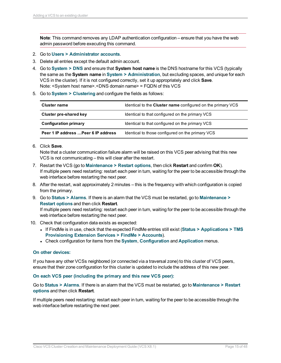**Note**: This command removes any LDAP authentication configuration – ensure that you have the web admin password before executing this command.

- 2. Go to **Users > Administrator accounts**.
- 3. Delete all entries except the default admin account.
- 4. Go to **System > DNS** and ensure that **System host name** is the DNS hostname for this VCS (typically the same as the **System name** in **System > Administration**, but excluding spaces, and unique for each VCS in the cluster). If it is not configured correctly, set it up appropriately and click **Save**. Note: <System host name>.<DNS domain name> = FQDN of this VCS
- 5. Go to **System > Clustering** and configure the fields as follows:

| Cluster name                         | Identical to the <b>Cluster name</b> configured on the primary VCS |
|--------------------------------------|--------------------------------------------------------------------|
| Cluster pre-shared key               | Identical to that configured on the primary VCS                    |
| <b>Configuration primary</b>         | Identical to that configured on the primary VCS                    |
| Peer 1 IP address  Peer 6 IP address | Identical to those configured on the primary VCS                   |

6. Click **Save**.

Note that a cluster communication failure alarm will be raised on this VCS peer advising that this new VCS is not communicating – this will clear after the restart.

- 7. Restart the VCS (go to **Maintenance > Restart options**, then click **Restart** and confirm **OK**). If multiple peers need restarting: restart each peer in turn, waiting for the peer to be accessible through the web interface before restarting the next peer.
- 8. After the restart, wait approximately 2 minutes this is the frequency with which configuration is copied from the primary.
- 9. Go to **Status > Alarms**. If there is an alarm that the VCS must be restarted, go to **Maintenance > Restart options** and then click **Restart**.

If multiple peers need restarting: restart each peer in turn, waiting for the peer to be accessible through the web interface before restarting the next peer.

- 10. Check that configuration data exists as expected:
	- <sup>l</sup> If FindMe is in use, check that the expected FindMe entries still exist (**Status > Applications > TMS Provisioning Extension Services > FindMe > Accounts**).
	- <sup>l</sup> Check configuration for items from the **System**, **Configuration** and **Application** menus.

#### **On other devices:**

If you have any other VCSs neighbored (or connected via a traversal zone) to this cluster of VCS peers, ensure that their zone configuration for this cluster is updated to include the address of this new peer.

#### **On each VCS peer (including the primary and this new VCS peer):**

Go to **Status > Alarms**. If there is an alarm that the VCS must be restarted, go to **Maintenance > Restart options** and then click **Restart**.

If multiple peers need restarting: restart each peer in turn, waiting for the peer to be accessible through the web interface before restarting the next peer.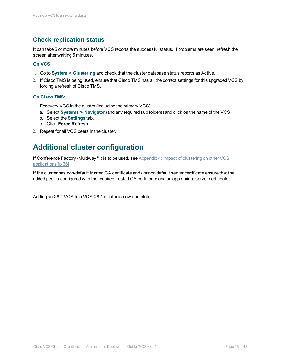### <span id="page-15-0"></span>**Check replication status**

It can take 5 or more minutes before VCS reports the successful status. If problems are seen, refresh the screen after waiting 5 minutes.

#### **On VCS:**

- 1. Go to **System > Clustering** and check that the cluster database status reports as Active.
- 2. If Cisco TMS is being used, ensure that Cisco TMS has all the correct settings for this upgraded VCS by forcing a refresh of Cisco TMS.

#### **On Cisco TMS:**

- 1. For every VCS in the cluster (including the primary VCS):
	- a. Select **Systems > Navigator** (and any required sub folders) and click on the name of the VCS.
	- b. Select the **Settings** tab.
	- c. Click **Force Refresh**.
- <span id="page-15-1"></span>2. Repeat for all VCS peers in the cluster.

## **Additional cluster configuration**

If Conference Factory (Multiway™) is to be used, see Appendix 4: Impact of [clustering](#page-35-0) on other VCS [applications](#page-35-0) [p.36].

If the cluster has non-default trusted CA certificate and / or non default server certificate ensure that the added peer is configured with the required trusted CA certificate and an appropriate server certificate.

Adding an X8.1 VCS to a VCS X8.1 cluster is now complete.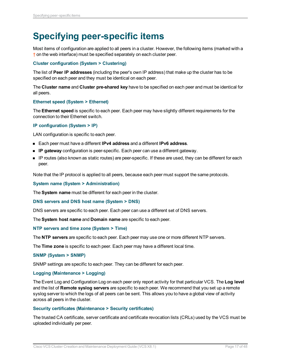## <span id="page-16-0"></span>**Specifying peer-specific items**

Most items of configuration are applied to all peers in a cluster. However, the following items (marked with a † on the web interface) must be specified separately on each cluster peer.

#### **Cluster configuration (System > Clustering)**

The list of **Peer IP addresses** (including the peer's own IP address) that make up the cluster has to be specified on each peer and they must be identical on each peer.

The **Cluster name** and **Cluster pre-shared key** have to be specified on each peer and must be identical for all peers.

#### **Ethernet speed (System > Ethernet)**

The **Ethernet speed** is specific to each peer. Each peer may have slightly different requirements for the connection to their Ethernet switch.

#### **IP configuration (System > IP)**

LAN configuration is specific to each peer.

- <sup>n</sup> Each peer must have a different **IPv4 address** and a different **IPv6 address**.
- **P gateway** configuration is peer-specific. Each peer can use a different gateway.
- <sup>n</sup> IP routes (also known as static routes) are peer-specific. If these are used, they can be different for each peer.

Note that the IP protocol is applied to all peers, because each peer must support the same protocols.

#### **System name (System > Administration)**

The **System name** must be different for each peer in the cluster.

#### **DNS servers and DNS host name (System > DNS)**

DNS servers are specific to each peer. Each peer can use a different set of DNS servers.

The **System host name** and **Domain name** are specific to each peer.

#### **NTP servers and time zone (System > Time)**

The **NTP servers** are specific to each peer. Each peer may use one or more different NTP servers.

The **Time zone** is specific to each peer. Each peer may have a different local time.

#### **SNMP (System > SNMP)**

SNMP settings are specific to each peer. They can be different for each peer.

#### **Logging (Maintenance > Logging)**

The Event Log and Configuration Log on each peer only report activity for that particular VCS. The **Log level** and the list of **Remote syslog servers** are specific to each peer. We recommend that you set up a remote syslog server to which the logs of all peers can be sent. This allows you to have a global view of activity across all peers in the cluster.

#### **Security certificates (Maintenance > Security certificates)**

The trusted CA certificate, server certificate and certificate revocation lists (CRLs) used by the VCS must be uploaded individually per peer.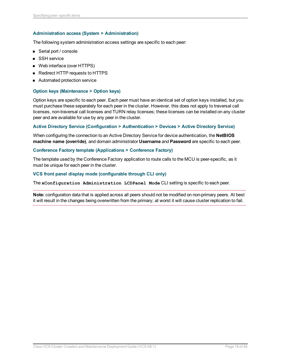#### **Administration access (System > Administration)**

The following system administration access settings are specific to each peer:

- Serial port / console
- SSH service
- Web interface (over HTTPS)
- **Redirect HTTP requests to HTTPS**
- Automated protection service

#### **Option keys (Maintenance > Option keys)**

Option keys are specific to each peer. Each peer must have an identical set of option keys installed, but you must purchase these separately for each peer in the cluster. However, this does not apply to traversal call licenses, non-traversal call licenses and TURN relay licenses; these licenses can be installed on any cluster peer and are available for use by any peer in the cluster.

#### **Active Directory Service (Configuration > Authentication > Devices > Active Directory Service)**

When configuring the connection to an Active Directory Service for device authentication, the **NetBIOS machine name (override)**, and domain administrator **Username** and **Password** are specific to each peer.

#### **Conference Factory template (Applications > Conference Factory)**

The template used by the Conference Factory application to route calls to the MCU is peer-specific, as it must be unique for each peer in the cluster.

#### **VCS front panel display mode (configurable through CLI only)**

The **xConfiguration Administration LCDPanel Mode** CLI setting is specific to each peer.

**Note:** configuration data that is applied across all peers should not be modified on non-primary peers. At best it will result in the changes being overwritten from the primary; at worst it will cause cluster replication to fail.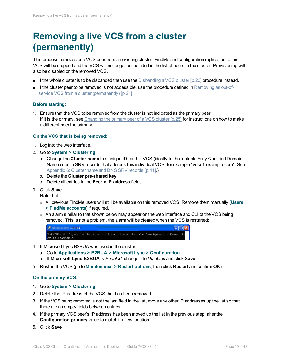## <span id="page-18-0"></span>**Removing a live VCS from a cluster (permanently)**

This process removes one VCS peer from an existing cluster. FindMe and configuration replication to this VCS will be stopped and the VCS will no longer be included in the list of peers in the cluster. Provisioning will also be disabled on the removed VCS.

- **n** If the whole cluster is to be disbanded then use the Disbanding a [VCS cluster](#page-22-0)  $[p.23]$  procedure instead.
- **n** If the cluster peer to be removed is not accessible, use the procedure defined in [Removing](#page-20-0) an out-ofservice VCS from a cluster [\(permanently\)](#page-20-0) [p.21].

#### **Before starting:**

1. Ensure that the VCS to be removed from the cluster is not indicated as the primary peer. If it is the primary, see Changing the primary peer of a [VCS cluster](#page-24-0)  $[p.25]$  for instructions on how to make a different peer the primary.

#### **On the VCS that is being removed:**

- 1. Log into the web interface.
- 2. Go to **System > Clustering**:
	- a. Change the **Cluster name** to a unique ID for this VCS (ideally to the routable Fully Qualified Domain Name used in SRV records that address this individual VCS, for example "vcse1.example.com". See [Appendix](#page-40-0) 6: Cluster name and DNS SRV records [p.41].)
	- b. Delete the **Cluster pre-shared key**.
	- c. Delete all entries in the **Peer x IP address** fields.
- 3. Click **Save**.

Note that:

- <sup>l</sup> All previous FindMe users will still be available on this removed VCS. Remove them manually (**Users > FindMe accounts**) if required.
- An alarm similar to that shown below may appear on the web interface and CLI of the VCS being removed. This is not a problem, the alarm will be cleared when the VCS is restarted:



- 4. If Microsoft Lync B2BUA was used in the cluster:
	- a. Go to **Applications > B2BUA > Microsoft Lync > Configuration**.
	- b. If **Microsoft Lync B2BUA** is *Enabled*, change it to *Disabled* and click **Save**.
- 5. Restart the VCS (go to **Maintenance > Restart options**, then click **Restart** and confirm **OK**).

#### **On the primary VCS:**

- 1. Go to **System > Clustering**.
- 2. Delete the IP address of the VCS that has been removed.
- 3. If the VCS being removed is not the last field in the list, move any other IP addresses up the list so that there are no empty fields between entries.
- 4. If the primary VCS peer's IP address has been moved up the list in the previous step, alter the **Configuration primary** value to match its new location.
- 5. Click **Save**.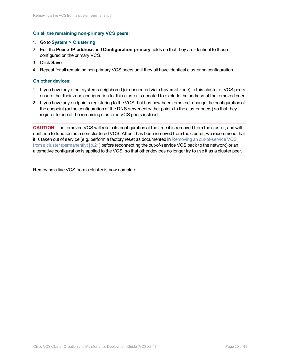#### **On all the remaining non-primary VCS peers:**

#### 1. Go to **System > Clustering**.

- 2. Edit the **Peer x IP address** and **Configuration primary** fields so that they are identical to those configured on the primary VCS.
- 3. Click **Save**.
- 4. Repeat for all remaining non-primary VCS peers until they all have identical clustering configuration.

#### **On other devices:**

- 1. If you have any other systems neighbored (or connected via a traversal zone) to this cluster of VCS peers, ensure that their zone configuration for this cluster is updated to exclude the address of the removed peer.
- 2. If you have any endpoints registering to the VCS that has now been removed, change the configuration of the endpoint (or the configuration of the DNS server entry that points to the cluster peers) so that they register to one of the remaining clustered VCS peers instead.

**CAUTION**: The removed VCS will retain its configuration at the time it is removed from the cluster, and will continue to function as a non-clustered VCS. After it has been removed from the cluster, we recommend that it is taken out of service (e.g. perform a factory reset as documented in Removing an [out-of-service](#page-20-0) VCS from a cluster [\(permanently\)](#page-20-0) [p.21] before reconnecting the out-of-service VCS back to the network) or an alternative configuration is applied to the VCS, so that other devices no longer try to use it as a cluster peer.

Removing a live VCS from a cluster is now complete.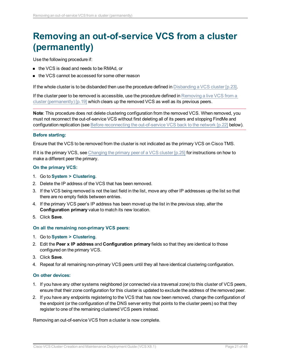## <span id="page-20-0"></span>**Removing an out-of-service VCS from a cluster (permanently)**

Use the following procedure if:

- the VCS is dead and needs to be RMAd, or
- the VCS cannot be accessed for some other reason

If the whole cluster is to be disbanded then use the procedure defined in Disbanding a [VCS cluster](#page-22-0) [p.23].

If the cluster peer to be removed is accessible, use the procedure defined in [Removing](#page-18-0) a live VCS from a cluster [\(permanently\)](#page-18-0) [p.19] which clears up the removed VCS as well as its previous peers.

**Note**: This procedure does not delete clustering configuration from the removed VCS. When removed, you must not reconnect the out-of-service VCS without first deleting all of its peers and stopping FindMe and configuration replication (see Before reconnecting the [out-of-service](#page-21-0) VCS back to the network [p.22] below).

#### **Before starting:**

Ensure that the VCS to be removed from the cluster is not indicated as the primary VCS on Cisco TMS.

If it is the primary VCS, see Changing the primary peer of a [VCS cluster](#page-24-0) [p.25] for instructions on how to make a different peer the primary.

#### **On the primary VCS:**

- 1. Go to **System > Clustering**.
- 2. Delete the IP address of the VCS that has been removed.
- 3. If the VCS being removed is not the last field in the list, move any other IP addresses up the list so that there are no empty fields between entries.
- 4. If the primary VCS peer's IP address has been moved up the list in the previous step, alter the **Configuration primary** value to match its new location.
- 5. Click **Save**.

#### **On all the remaining non-primary VCS peers:**

- 1. Go to **System > Clustering**.
- 2. Edit the **Peer x IP address** and **Configuration primary** fields so that they are identical to those configured on the primary VCS.
- 3. Click **Save**.
- 4. Repeat for all remaining non-primary VCS peers until they all have identical clustering configuration.

#### **On other devices:**

- 1. If you have any other systems neighbored (or connected via a traversal zone) to this cluster of VCS peers, ensure that their zone configuration for this cluster is updated to exclude the address of the removed peer.
- 2. If you have any endpoints registering to the VCS that has now been removed, change the configuration of the endpoint (or the configuration of the DNS server entry that points to the cluster peers) so that they register to one of the remaining clustered VCS peers instead.

Removing an out-of-service VCS from a cluster is now complete.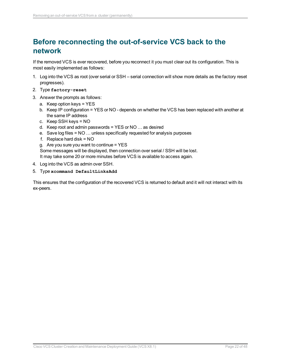## <span id="page-21-0"></span>**Before reconnecting the out-of-service VCS back to the network**

If the removed VCS is ever recovered, before you reconnect it you must clear out its configuration. This is most easily implemented as follows:

- 1. Log into the VCS as root (over serial or SSH serial connection will show more details as the factory reset progresses).
- 2. Type **factory-reset**
- 3. Answer the prompts as follows:
	- a. Keep option keys = YES
	- b. Keep IP configuration = YES or NO depends on whether the VCS has been replaced with another at the same IP address
	- c. Keep SSH keys = NO
	- d. Keep root and admin passwords = YES or NO … as desired
	- e. Save log files = NO … unless specifically requested for analysis purposes
	- f. Replace hard disk = NO
	- g. Are you sure you want to continue  $=$  YES

Some messages will be displayed, then connection over serial / SSH will be lost. It may take some 20 or more minutes before VCS is available to access again.

- 4. Log into the VCS as admin over SSH.
- 5. Type **xcommand DefaultLinksAdd**

This ensures that the configuration of the recovered VCS is returned to default and it will not interact with its ex-peers.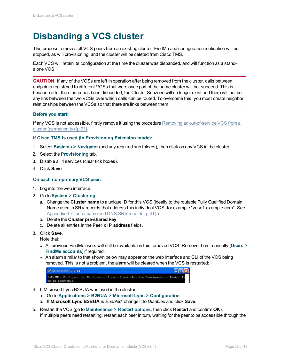## <span id="page-22-0"></span>**Disbanding a VCS cluster**

This process removes all VCS peers from an existing cluster. FindMe and configuration replication will be stopped, as will provisioning, and the cluster will be deleted from Cisco TMS.

Each VCS will retain its configuration at the time the cluster was disbanded, and will function as a standalone VCS.

**CAUTION**: If any of the VCSs are left in operation after being removed from the cluster, calls between endpoints registered to different VCSs that were once part of the same cluster will not succeed. This is because after the cluster has been disbanded, the Cluster Subzone will no longer exist and there will not be any link between the two VCSs over which calls can be routed. To overcome this, you must create neighbor relationships between the VCSs so that there are links between them.

#### **Before you start:**

If any VCS is not accessible, firstly remove it using the procedure Removing an [out-of-service](#page-20-0) VCS from a cluster [\(permanently\)](#page-20-0) [p.21].

#### **If Cisco TMS is used (in Provisioning Extension mode):**

- 1. Select **Systems > Navigator** (and any required sub folders), then click on any VCS in the cluster.
- 2. Select the **Provisioning** tab.
- 3. Disable all 4 services (clear tick boxes).
- 4. Click **Save**.

#### **On each non-primary VCS peer:**

- 1. Log into the web interface.
- 2. Go to **System > Clustering**:
	- a. Change the **Cluster name** to a unique ID for this VCS (ideally to the routable Fully Qualified Domain Name used in SRV records that address this individual VCS, for example "vcse1.example.com". See [Appendix](#page-40-0) 6: Cluster name and DNS SRV records [p.41].)
	- b. Delete the **Cluster pre-shared key**.
	- c. Delete all entries in the **Peer x IP address** fields.
- 3. Click **Save**.

Note that:

- <sup>l</sup> All previous FindMe users will still be available on this removed VCS. Remove them manually (**Users > FindMe accounts**) if required.
- An alarm similar to that shown below may appear on the web interface and CLI of the VCS being removed. This is not a problem, the alarm will be cleared when the VCS is restarted:

| $\mathbf{r}$    | PuTTY |  |  |                                                                                  | $\Box$ D $x$ |
|-----------------|-------|--|--|----------------------------------------------------------------------------------|--------------|
|                 |       |  |  | WARNING: Configuration Replication Error: Check that the Configuration Master Pe |              |
| er is reachable |       |  |  |                                                                                  |              |

- 4. If Microsoft Lync B2BUA was used in the cluster:
	- a. Go to **Applications > B2BUA > Microsoft Lync > Configuration**.
	- b. If **Microsoft Lync B2BUA** is *Enabled*, change it to *Disabled* and click **Save**.
- 5. Restart the VCS (go to **Maintenance > Restart options**, then click **Restart** and confirm **OK**). If multiple peers need restarting: restart each peer in turn, waiting for the peer to be accessible through the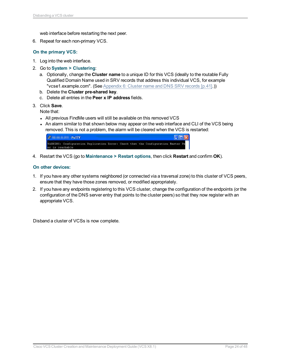web interface before restarting the next peer.

6. Repeat for each non-primary VCS.

#### **On the primary VCS:**

- 1. Log into the web interface.
- 2. Go to **System > Clustering**:
	- a. Optionally, change the **Cluster name** to a unique ID for this VCS (ideally to the routable Fully Qualified Domain Name used in SRV records that address this individual VCS, for example "vcse1.example.com". (See [Appendix](#page-40-0) 6: Cluster name and DNS SRV records [p.41].))
	- b. Delete the **Cluster pre-shared key**.
	- c. Delete all entries in the **Peer x IP address** fields.
- 3. Click **Save**.

Note that:

- All previous FindMe users will still be available on this removed VCS
- An alarm similar to that shown below may appear on the web interface and CLI of the VCS being removed. This is not a problem, the alarm will be cleared when the VCS is restarted:

| 曝               | <b>PuTTY</b> |  |  |                                                                                  | $\Box$ o $\times$ |
|-----------------|--------------|--|--|----------------------------------------------------------------------------------|-------------------|
| er is reachable |              |  |  | WARNING: Configuration Replication Error: Check that the Configuration Master Pe |                   |

4. Restart the VCS (go to **Maintenance > Restart options**, then click **Restart** and confirm **OK**).

#### **On other devices:**

- 1. If you have any other systems neighbored (or connected via a traversal zone) to this cluster of VCS peers, ensure that they have those zones removed, or modified appropriately.
- 2. If you have any endpoints registering to this VCS cluster, change the configuration of the endpoints (or the configuration of the DNS server entry that points to the cluster peers) so that they now register with an appropriate VCS.

Disband a cluster of VCSs is now complete.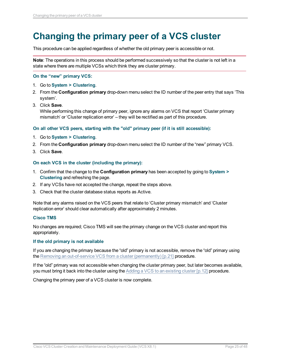## <span id="page-24-0"></span>**Changing the primary peer of a VCS cluster**

This procedure can be applied regardless of whether the old primary peer is accessible or not.

**Note**: The operations in this process should be performed successively so that the cluster is not left in a state where there are multiple VCSs which think they are cluster primary.

#### **On the "new" primary VCS:**

- 1. Go to **System > Clustering**.
- 2. From the **Configuration primary** drop-down menu select the ID number of the peer entry that says 'This system'.
- 3. Click **Save**.

While performing this change of primary peer, ignore any alarms on VCS that report 'Cluster primary mismatch' or 'Cluster replication error' – they will be rectified as part of this procedure.

#### **On all other VCS peers, starting with the "old" primary peer (if it is still accessible):**

- 1. Go to **System > Clustering**.
- 2. From the **Configuration primary** drop-down menu select the ID number of the "new" primary VCS.
- 3. Click **Save**.

#### **On each VCS in the cluster (including the primary):**

- 1. Confirm that the change to the **Configuration primary** has been accepted by going to **System > Clustering** and refreshing the page.
- 2. If any VCSs have not accepted the change, repeat the steps above.
- 3. Check that the cluster database status reports as Active.

Note that any alarms raised on the VCS peers that relate to 'Cluster primary mismatch' and 'Cluster replication error' should clear automatically after approximately 2 minutes.

#### **Cisco TMS**

No changes are required; Cisco TMS will see the primary change on the VCS cluster and report this appropriately.

#### **If the old primary is not available**

If you are changing the primary because the "old" primary is not accessible, remove the "old" primary using the Removing an out-of-service VCS from a cluster [\(permanently\)](#page-20-0) [p.21] procedure.

If the "old" primary was not accessible when changing the cluster primary peer, but later becomes available, you must bring it back into the cluster using the Adding a VCS to an [existing](#page-11-0) cluster [p.12] procedure.

Changing the primary peer of a VCS cluster is now complete.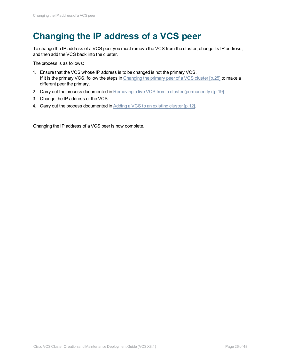## <span id="page-25-0"></span>**Changing the IP address of a VCS peer**

To change the IP address of a VCS peer you must remove the VCS from the cluster, change its IP address, and then add the VCS back into the cluster.

The process is as follows:

- 1. Ensure that the VCS whose IP address is to be changed is not the primary VCS. If it is the primary VCS, follow the steps in Changing the primary peer of a [VCS cluster](#page-24-0) [p.25] to make a different peer the primary.
- 2. Carry out the process documented in Removing a live VCS from a cluster [\(permanently\)](#page-18-0) [p.19].
- 3. Change the IP address of the VCS.
- 4. Carry out the process documented in Adding a VCS to an [existing](#page-11-0) cluster [p.12].

Changing the IP address of a VCS peer is now complete.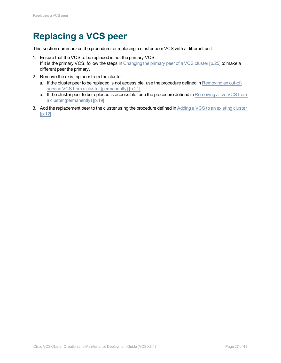## <span id="page-26-0"></span>**Replacing a VCS peer**

This section summarizes the procedure for replacing a cluster peer VCS with a different unit.

- 1. Ensure that the VCS to be replaced is not the primary VCS. If it is the primary VCS, follow the steps in Changing the primary peer of a [VCS cluster](#page-24-0) [p.25] to make a different peer the primary.
- 2. Remove the existing peer from the cluster:
	- a. If the cluster peer to be replaced is not accessible, use the procedure defined in [Removing](#page-20-0) an out-ofservice VCS from a cluster [\(permanently\)](#page-20-0) [p.21].
	- b. If the cluster peer to be replaced is accessible, use the procedure defined in [Removing](#page-18-0) a live VCS from a cluster [\(permanently\)](#page-18-0) [p.19].
- 3. Add the replacement peer to the cluster using the procedure defined in Adding a VCS to an [existing](#page-11-0) cluster [\[p.12\].](#page-11-0)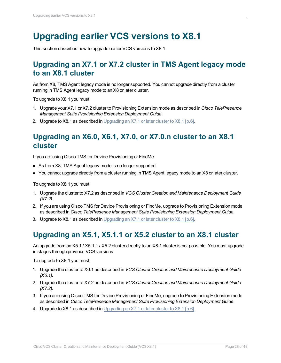## <span id="page-27-0"></span>**Upgrading earlier VCS versions to X8.1**

<span id="page-27-1"></span>This section describes how to upgrade earlier VCS versions to X8.1.

## **Upgrading an X7.1 or X7.2 cluster in TMS Agent legacy mode to an X8.1 cluster**

As from X8, TMS Agent legacy mode is no longer supported. You cannot upgrade directly from a cluster running in TMS Agent legacy mode to an X8 or later cluster.

To upgrade to X8.1 you must:

- 1. Upgrade your X7.1 or X7.2 cluster to Provisioning Extension mode as described in *Cisco TelePresence Management Suite Provisioning Extension Deployment Guide*.
- <span id="page-27-2"></span>2. Upgrade to X8.1 as described in [Upgrading](#page-5-0) an  $X7.1$  or later cluster to  $X8.1$  [p.6].

## **Upgrading an X6.0, X6.1, X7.0, or X7.0.n cluster to an X8.1 cluster**

If you are using Cisco TMS for Device Provisioning or FindMe:

- **n** As from X8, TMS Agent legacy mode is no longer supported.
- You cannot upgrade directly from a cluster running in TMS Agent legacy mode to an X8 or later cluster.

To upgrade to X8.1 you must:

- 1. Upgrade the cluster to X7.2 as described in *VCS Cluster Creation and Maintenance Deployment Guide (X7.2)*.
- 2. If you are using Cisco TMS for Device Provisioning or FindMe, upgrade to Provisioning Extension mode as described in *Cisco TelePresence Management Suite Provisioning Extension Deployment Guide*.
- <span id="page-27-3"></span>3. Upgrade to X8.1 as described in [Upgrading](#page-5-0) an  $X7.1$  or later cluster to  $X8.1$  [p.6].

## **Upgrading an X5.1, X5.1.1 or X5.2 cluster to an X8.1 cluster**

An upgrade from an X5.1 / X5.1.1 / X5.2 cluster directly to an X8.1 cluster is not possible. You must upgrade in stages through previous VCS versions:

To upgrade to X8.1 you must:

- 1. Upgrade the cluster to X6.1 as described in *VCS Cluster Creation and Maintenance Deployment Guide (X6.1)*.
- 2. Upgrade the cluster to X7.2 as described in *VCS Cluster Creation and Maintenance Deployment Guide (X7.2)*.
- 3. If you are using Cisco TMS for Device Provisioning or FindMe, upgrade to Provisioning Extension mode as described in *Cisco TelePresence Management Suite Provisioning Extension Deployment Guide*.
- 4. Upgrade to X8.1 as described in [Upgrading](#page-5-0) an X7.1 or later cluster to X8.1 [p.6].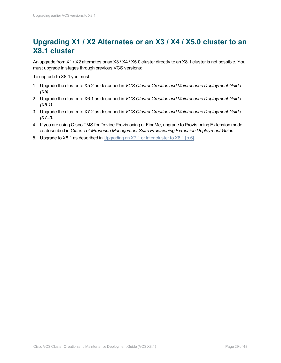## <span id="page-28-0"></span>**Upgrading X1 / X2 Alternates or an X3 / X4 / X5.0 cluster to an X8.1 cluster**

An upgrade from X1 / X2 alternates or an X3 / X4 / X5.0 cluster directly to an X8.1 cluster is not possible. You must upgrade in stages through previous VCS versions:

To upgrade to X8.1 you must:

- 1. Upgrade the cluster to X5.2 as described in *VCS Cluster Creation and Maintenance Deployment Guide (X5)* .
- 2. Upgrade the cluster to X6.1 as described in *VCS Cluster Creation and Maintenance Deployment Guide (X6.1)*.
- 3. Upgrade the cluster to X7.2 as described in *VCS Cluster Creation and Maintenance Deployment Guide (X7.2)*.
- 4. If you are using Cisco TMS for Device Provisioning or FindMe, upgrade to Provisioning Extension mode as described in *Cisco TelePresence Management Suite Provisioning Extension Deployment Guide*.
- 5. Upgrade to X8.1 as described in [Upgrading](#page-5-0) an X7.1 or later cluster to X8.1 [p.6].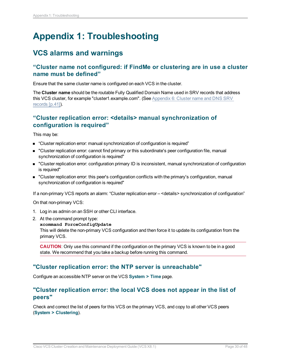## <span id="page-29-0"></span>**Appendix 1: Troubleshooting**

## <span id="page-29-1"></span>**VCS alarms and warnings**

### <span id="page-29-2"></span>**"Cluster name not configured: if FindMe or clustering are in use a cluster name must be defined"**

Ensure that the same cluster name is configured on each VCS in the cluster.

The **Cluster name** should be the routable Fully Qualified Domain Name used in SRV records that address this VCS cluster, for example "cluster1.example.com". (See [Appendix](#page-40-0) 6: Cluster name and DNS SRV [records](#page-40-0) [p.41]).

### <span id="page-29-3"></span>**"Cluster replication error: <details> manual synchronization of configuration is required"**

This may be:

- "Cluster replication error: manual synchronization of configuration is required"
- **n** "Cluster replication error: cannot find primary or this subordinate's peer configuration file, manual synchronization of configuration is required"
- <sup>n</sup> "Cluster replication error: configuration primary ID is inconsistent, manual synchronization of configuration is required"
- <sup>n</sup> "Cluster replication error: this peer's configuration conflicts with the primary's configuration, manual synchronization of configuration is required"

If a non-primary VCS reports an alarm: "Cluster replication error – <details> synchronization of configuration"

On that non-primary VCS:

- 1. Log in as admin on an SSH or other CLI interface.
- 2. At the command prompt type:
	- **xcommand ForceConfigUpdate**

This will delete the non-primary VCS configuration and then force it to update its configuration from the primary VCS.

**CAUTION**: Only use this command if the configuration on the primary VCS is known to be in a good state. We recommend that you take a backup before running this command.

#### <span id="page-29-4"></span>**"Cluster replication error: the NTP server is unreachable"**

<span id="page-29-5"></span>Configure an accessible NTP server on the VCS **System > Time** page.

#### **"Cluster replication error: the local VCS does not appear in the list of peers"**

Check and correct the list of peers for this VCS on the primary VCS, and copy to all other VCS peers (**System > Clustering**).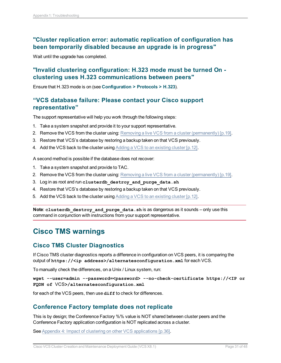### <span id="page-30-0"></span>**"Cluster replication error: automatic replication of configuration has been temporarily disabled because an upgrade is in progress"**

<span id="page-30-1"></span>Wait until the upgrade has completed.

### **"Invalid clustering configuration: H.323 mode must be turned On clustering uses H.323 communications between peers"**

<span id="page-30-2"></span>Ensure that H.323 mode is on (see **Configuration > Protocols > H.323**).

#### **"VCS database failure: Please contact your Cisco support representative"**

The support representative will help you work through the following steps:

- 1. Take a system snapshot and provide it to your support representative.
- 2. Remove the VCS from the cluster using: Removing a live VCS from a cluster [\(permanently\)](#page-18-0) [p.19].
- 3. Restore that VCS's database by restoring a backup taken on that VCS previously.
- 4. Add the VCS back to the cluster using Adding a VCS to an [existing](#page-11-0) cluster [p.12].

A second method is possible if the database does not recover:

- 1. Take a system snapshot and provide to TAC.
- 2. Remove the VCS from the cluster using: Removing a live VCS from a cluster [\(permanently\)](#page-18-0) [p.19].
- 3. Log in as root and run **clusterdb\_destroy\_and\_purge\_data.sh**
- 4. Restore that VCS's database by restoring a backup taken on that VCS previously.
- 5. Add the VCS back to the cluster using Adding a VCS to an [existing](#page-11-0) cluster [p.12].

**Note**: **clusterdb\_destroy\_and\_purge\_data.sh** is as dangerous as it sounds – only use this command in conjunction with instructions from your support representative.

## <span id="page-30-3"></span>**Cisco TMS warnings**

### <span id="page-30-4"></span>**Cisco TMS Cluster Diagnostics**

If Cisco TMS cluster diagnostics reports a difference in configuration on VCS peers, it is comparing the output of **https://<ip address>/alternatesconfiguration.xml** for each VCS.

To manually check the differences, on a Unix / Linux system, run:

**wget --user=admin --password=<password> --no-check-certificate https://<IP or FQDN of** VCS**>/alternatesconfiguration.xml**

<span id="page-30-5"></span>for each of the VCS peers, then use  $diff$  to check for differences.

#### **Conference Factory template does not replicate**

This is by design; the Conference Factory %% value is NOT shared between cluster peers and the Conference Factory application configuration is NOT replicated across a cluster.

See Appendix 4: Impact of clustering on other VCS [applications](#page-35-0) [p.36].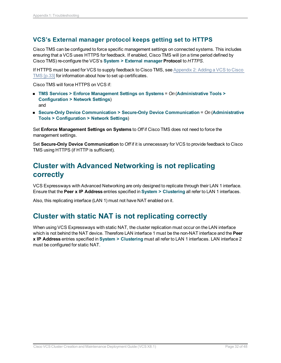### <span id="page-31-0"></span>**VCS's External manager protocol keeps getting set to HTTPS**

Cisco TMS can be configured to force specific management settings on connected systems. This includes ensuring that a VCS uses HTTPS for feedback. If enabled, Cisco TMS will (on a time period defined by Cisco TMS) re-configure the VCS's **System > External manager Protocol** to *HTTPS*.

If HTTPS must be used for VCS to supply feedback to Cisco TMS, see [Appendix](#page-32-0) 2: Adding a VCS to Cisco TMS [\[p.33\]](#page-32-0) for information about how to set up certificates.

Cisco TMS will force HTTPS on VCS if:

- <sup>n</sup> **TMS Services > Enforce Management Settings on Systems** = *On* (**Administrative Tools > Configuration > Network Settings**) and
- <sup>n</sup> **Secure-Only Device Communication > Secure-Only Device Communication** = *On* (**Administrative Tools > Configuration > Network Settings**)

Set **Enforce Management Settings on Systems** to *Off* if Cisco TMS does not need to force the management settings.

Set **Secure-Only Device Communication** to *Off* if it is unnecessary for VCS to provide feedback to Cisco TMS using HTTPS (if HTTP is sufficient).

## <span id="page-31-1"></span>**Cluster with Advanced Networking is not replicating correctly**

VCS Expressways with Advanced Networking are only designed to replicate through their LAN 1 interface. Ensure that the **Peer x IP Address** entries specified in **System > Clustering** all refer to LAN 1 interfaces.

<span id="page-31-2"></span>Also, this replicating interface (LAN 1) must not have NAT enabled on it.

## **Cluster with static NAT is not replicating correctly**

When using VCS Expressways with static NAT, the cluster replication must occur on the LAN interface which is not behind the NAT device. Therefore LAN interface 1 must be the non-NAT interface and the **Peer x IP Address** entries specified in **System > Clustering** must all refer to LAN 1 interfaces. LAN interface 2 must be configured for static NAT.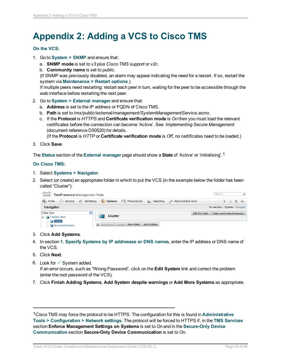## <span id="page-32-0"></span>**Appendix 2: Adding a VCS to Cisco TMS**

#### **On the VCS:**

- 1. Go to **System > SNMP** and ensure that:
	- a. **SNMP mode** is set to *v3 plus Cisco TMS support* or *v2c*.
	- b. **Community name** is set to *public*.

(If SNMP was previously disabled, an alarm may appear indicating the need for a restart. If so, restart the system via **Maintenance > Restart options**.)

If multiple peers need restarting: restart each peer in turn, waiting for the peer to be accessible through the web interface before restarting the next peer.

- 2. Go to **System > External manager** and ensure that:
	- a. **Address** is set to the IP address or FQDN of Cisco TMS.
	- b. **Path** is set to *tms/public/external/management/SystemManagementService.asmx*.
	- c. If the **Protocol** is *HTTPS* and **Certificate verification mode** is *On* then you must load the relevant certificates before the connection can become 'Active'. See *Implementing Secure Management* (document reference D50520) for details.

(If the **Protocol** is *HTTP* or **Certificate verification mode** is *Off*, no certificates need to be loaded.)

3. Click **Save**.

The **Status** section of the **External manager** page should show a **State** of 'Active' or 'Initialising'.1

#### **On Cisco TMS:**

- 1. Select **Systems > Navigator**.
- 2. Select (or create) an appropriate folder in which to put the VCS (in the example below the folder has been called "Cluster"):

| սիսիշ<br>TelePresence Management Suite<br>CISCO               |                                                    | $\mathcal{Q}_\mathcal{Q}$<br>Search                                            |
|---------------------------------------------------------------|----------------------------------------------------|--------------------------------------------------------------------------------|
| G.<br>$\mathcal{L}$<br>Booking<br>Portal<br>Monitorina<br>le. | $\Box$ Systems<br>Reporting<br>Phone Books<br>m    | Administrative Tools<br>$\qquad \qquad \qquad \Box$<br>$^{(0)}$<br>$(2)$ $(L)$ |
| Navigator                                                     |                                                    | You are here: • Systems • Navigator                                            |
| Folder View<br>×                                              | Cluster                                            | Folder and System Permissions<br>Edit This Folder                              |
| □ Company Name<br>$\Box$ Cluster                              |                                                    |                                                                                |
| Discovered Systems                                            | 偭<br>New Folder<br>Move/Copy Delete<br>Add Systems |                                                                                |

- 3. Click **Add Systems**.
- 4. In section **1. Specify Systems by IP addresses or DNS names**, enter the IP address or DNS name of the VCS.
- 5. Click **Next**.
- 6. Look for  $\checkmark$  System added. If an error occurs, such as "Wrong Password", click on the **Edit System** link and correct the problem (enter the root password of the VCS).
- 7. Click **Finish Adding Systems**, **Add System despite warnings** or **Add More Systems** as appropriate.

1Cisco TMS may force the protocol to be HTTPS. The configuration for this is found in **Administrative Tools > Configuration > Network settings**. The protocol will be forced to HTTPS if, in the **TMS Services** section **Enforce Management Settings on Systems** is set to *On* and in the **Secure-Only Device Communication** section **Secure-Only Device Communication** is set to *On*.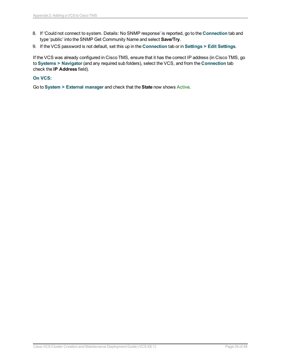- 8. If 'Could not connect to system. Details: No SNMP response' is reported, go to the **Connection** tab and type 'public' into the SNMP Get Community Name and select **Save/Try**.
- 9. If the VCS password is not default, set this up in the **Connection** tab or in **Settings > Edit Settings**.

If the VCS was already configured in Cisco TMS, ensure that it has the correct IP address (in Cisco TMS, go to **Systems > Navigator** (and any required sub folders), select the VCS, and from the **Connection** tab check the **IP Address** field).

#### **On VCS:**

Go to **System > External manager** and check that the **State** now shows Active.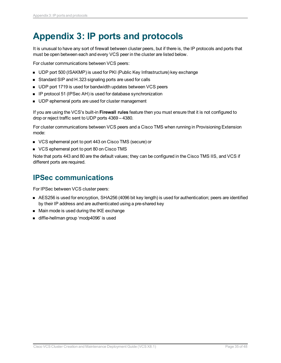## <span id="page-34-0"></span>**Appendix 3: IP ports and protocols**

It is unusual to have any sort of firewall between cluster peers, but if there is, the IP protocols and ports that must be open between each and every VCS peer in the cluster are listed below.

For cluster communications between VCS peers:

- UDP port 500 (ISAKMP) is used for PKI (Public Key Infrastructure) key exchange
- Standard SIP and H.323 signaling ports are used for calls
- UDP port 1719 is used for bandwidth updates between VCS peers
- IP protocol 51 (IPSec AH) is used for database synchronization
- **DDP** ephemeral ports are used for cluster management

If you are using the VCS's built-in **Firewall rules** feature then you must ensure that it is not configured to drop or reject traffic sent to UDP ports 4369 – 4380.

For cluster communications between VCS peers and a Cisco TMS when running in Provisioning Extension mode:

- VCS ephemeral port to port 443 on Cisco TMS (secure) or
- **No. 7 VCS ephemeral port to port 80 on Cisco TMS**

Note that ports 443 and 80 are the default values; they can be configured in the Cisco TMS IIS, and VCS if different ports are required.

### <span id="page-34-1"></span>**IPSec communications**

For IPSec between VCS cluster peers:

- <sup>n</sup> AES256 is used for encryption, SHA256 (4096 bit key length) is used for authentication; peers are identified by their IP address and are authenticated using a pre-shared key
- Main mode is used during the IKE exchange
- diffie-hellman group 'modp4096' is used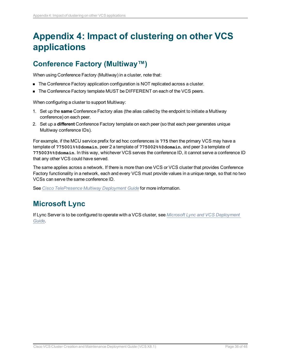## <span id="page-35-0"></span>**Appendix 4: Impact of clustering on other VCS applications**

## <span id="page-35-1"></span>**Conference Factory (Multiway™)**

When using Conference Factory (Multiway) in a cluster, note that:

- The Conference Factory application configuration is NOT replicated across a cluster.
- The Conference Factory template MUST be DIFFERENT on each of the VCS peers.

When configuring a cluster to support Multiway:

- 1. Set up the **same** Conference Factory alias (the alias called by the endpoint to initiate a Multiway conference) on each peer.
- 2. Set up a **different** Conference Factory template on each peer (so that each peer generates unique Multiway conference IDs).

For example, if the MCU service prefix for ad hoc conferences is **775** then the primary VCS may have a template of **775001%%@domain**, peer 2 a template of **775002%%@domain**, and peer 3 a template of **775003%%@domain**. In this way, whichever VCS serves the conference ID, it cannot serve a conference ID that any other VCS could have served.

The same applies across a network. If there is more than one VCS or VCS cluster that provides Conference Factory functionality in a network, each and every VCS must provide values in a unique range, so that no two VCSs can serve the same conference ID.

<span id="page-35-2"></span>See *Cisco [TelePresence](http://www.cisco.com/en/US/products/ps11337/products_installation_and_configuration_guides_list.html) Multiway Deployment Guide* for more information.

## **Microsoft Lync**

If Lync Server is to be configured to operate with a VCS cluster, see *Microsoft Lync and VCS [Deployment](http://www.cisco.com/en/US/products/ps11337/products_installation_and_configuration_guides_list.html) [Guide](http://www.cisco.com/en/US/products/ps11337/products_installation_and_configuration_guides_list.html)*.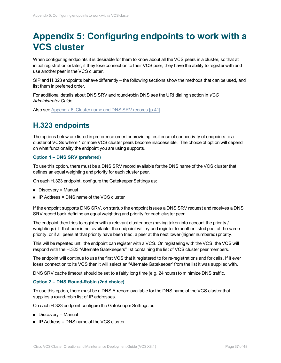## <span id="page-36-0"></span>**Appendix 5: Configuring endpoints to work with a VCS cluster**

When configuring endpoints it is desirable for them to know about all the VCS peers in a cluster, so that at initial registration or later, if they lose connection to their VCS peer, they have the ability to register with and use another peer in the VCS cluster.

SIP and H.323 endpoints behave differently – the following sections show the methods that can be used, and list them in preferred order.

For additional details about DNS SRV and round-robin DNS see the URI dialing section in *VCS Administrator Guide.*

<span id="page-36-1"></span>Also see [Appendix](#page-40-0) 6: Cluster name and DNS SRV records [p.41].

## **H.323 endpoints**

The options below are listed in preference order for providing resilience of connectivity of endpoints to a cluster of VCSs where 1 or more VCS cluster peers become inaccessible. The choice of option will depend on what functionality the endpoint you are using supports.

#### **Option 1 – DNS SRV (preferred)**

To use this option, there must be a DNS SRV record available for the DNS name of the VCS cluster that defines an equal weighting and priority for each cluster peer.

On each H.323 endpoint, configure the Gatekeeper Settings as:

- $\blacksquare$  Discovery = Manual
- $\blacksquare$  IP Address = DNS name of the VCS cluster

If the endpoint supports DNS SRV, on startup the endpoint issues a DNS SRV request and receives a DNS SRV record back defining an equal weighting and priority for each cluster peer.

The endpoint then tries to register with a relevant cluster peer (having taken into account the priority / weightings). If that peer is not available, the endpoint will try and register to another listed peer at the same priority, or if all peers at that priority have been tried, a peer at the next lower (higher numbered) priority.

This will be repeated until the endpoint can register with a VCS. On registering with the VCS, the VCS will respond with the H.323 "Alternate Gatekeepers" list containing the list of VCS cluster peer members.

The endpoint will continue to use the first VCS that it registered to for re-registrations and for calls. If it ever loses connection to its VCS then it will select an "Alternate Gatekeeper" from the list it was supplied with.

DNS SRV cache timeout should be set to a fairly long time (e.g. 24 hours) to minimize DNS traffic.

#### **Option 2 – DNS Round-Robin (2nd choice)**

To use this option, there must be a DNS A-record available for the DNS name of the VCS cluster that supplies a round-robin list of IP addresses.

On each H.323 endpoint configure the Gatekeeper Settings as:

- Discovery = Manual
- $\blacksquare$  IP Address = DNS name of the VCS cluster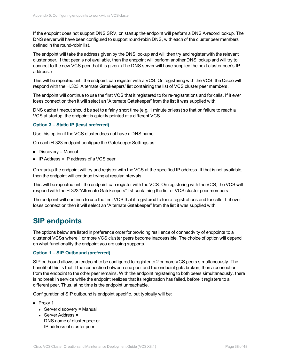If the endpoint does not support DNS SRV, on startup the endpoint will perform a DNS A-record lookup. The DNS server will have been configured to support round-robin DNS, with each of the cluster peer members defined in the round-robin list.

The endpoint will take the address given by the DNS lookup and will then try and register with the relevant cluster peer. If that peer is not available, then the endpoint will perform another DNS lookup and will try to connect to the new VCS peer that it is given. (The DNS server will have supplied the next cluster peer's IP address.)

This will be repeated until the endpoint can register with a VCS. On registering with the VCS, the Cisco will respond with the H.323 'Alternate Gatekeepers' list containing the list of VCS cluster peer members.

The endpoint will continue to use the first VCS that it registered to for re-registrations and for calls. If it ever loses connection then it will select an "Alternate Gatekeeper" from the list it was supplied with.

DNS cache timeout should be set to a fairly short time (e.g. 1 minute or less) so that on failure to reach a VCS at startup, the endpoint is quickly pointed at a different VCS.

#### **Option 3 – Static IP (least preferred)**

Use this option if the VCS cluster does not have a DNS name.

On each H.323 endpoint configure the Gatekeeper Settings as:

- $\blacksquare$  Discovery = Manual
- **n** IP Address = IP address of a VCS peer

On startup the endpoint will try and register with the VCS at the specified IP address. If that is not available, then the endpoint will continue trying at regular intervals.

This will be repeated until the endpoint can register with the VCS. On registering with the VCS, the VCS will respond with the H.323 "Alternate Gatekeepers" list containing the list of VCS cluster peer members.

The endpoint will continue to use the first VCS that it registered to for re-registrations and for calls. If it ever loses connection then it will select an "Alternate Gatekeeper" from the list it was supplied with.

## <span id="page-37-0"></span>**SIP endpoints**

The options below are listed in preference order for providing resilience of connectivity of endpoints to a cluster of VCSs where 1 or more VCS cluster peers become inaccessible. The choice of option will depend on what functionality the endpoint you are using supports.

#### **Option 1 – SIP Outbound (preferred)**

SIP outbound allows an endpoint to be configured to register to 2 or more VCS peers simultaneously. The benefit of this is that if the connection between one peer and the endpoint gets broken, then a connection from the endpoint to the other peer remains. With the endpoint registering to both peers simultaneously, there is no break in service while the endpoint realizes that its registration has failed, before it registers to a different peer. Thus, at no time is the endpoint unreachable.

Configuration of SIP outbound is endpoint specific, but typically will be:

- **n** Proxy 1
	- $\bullet$  Server discovery = Manual
	- $\cdot$  Server Address = DNS name of cluster peer or IP address of cluster peer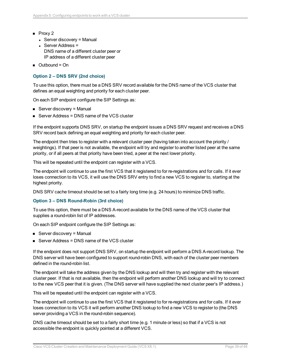- $\blacksquare$  Proxy 2
	- $\bullet$  Server discovery = Manual
	- $\cdot$  Server Address = DNS name of a different cluster peer or IP address of a different cluster peer
- $\Box$  Outbound = On

#### **Option 2 – DNS SRV (2nd choice)**

To use this option, there must be a DNS SRV record available for the DNS name of the VCS cluster that defines an equal weighting and priority for each cluster peer.

On each SIP endpoint configure the SIP Settings as:

- $\blacksquare$  Server discovery = Manual
- $\blacksquare$  Server Address = DNS name of the VCS cluster

If the endpoint supports DNS SRV, on startup the endpoint issues a DNS SRV request and receives a DNS SRV record back defining an equal weighting and priority for each cluster peer.

The endpoint then tries to register with a relevant cluster peer (having taken into account the priority / weightings). If that peer is not available, the endpoint will try and register to another listed peer at the same priority, or if all peers at that priority have been tried, a peer at the next lower priority.

This will be repeated until the endpoint can register with a VCS.

The endpoint will continue to use the first VCS that it registered to for re-registrations and for calls. If it ever loses connection to its VCS, it will use the DNS SRV entry to find a new VCS to register to, starting at the highest priority.

DNS SRV cache timeout should be set to a fairly long time (e.g. 24 hours) to minimize DNS traffic.

#### **Option 3 – DNS Round-Robin (3rd choice)**

To use this option, there must be a DNS A-record available for the DNS name of the VCS cluster that supplies a round-robin list of IP addresses.

On each SIP endpoint configure the SIP Settings as:

- $\blacksquare$  Server discovery = Manual
- $\blacksquare$  Server Address = DNS name of the VCS cluster

If the endpoint does not support DNS SRV, on startup the endpoint will perform a DNS A-record lookup. The DNS server will have been configured to support round-robin DNS, with each of the cluster peer members defined in the round-robin list.

The endpoint will take the address given by the DNS lookup and will then try and register with the relevant cluster peer. If that is not available, then the endpoint will perform another DNS lookup and will try to connect to the new VCS peer that it is given. (The DNS server will have supplied the next cluster peer's IP address.)

This will be repeated until the endpoint can register with a VCS.

The endpoint will continue to use the first VCS that it registered to for re-registrations and for calls. If it ever loses connection to its VCS it will perform another DNS lookup to find a new VCS to register to (the DNS server providing a VCS in the round-robin sequence).

DNS cache timeout should be set to a fairly short time (e.g. 1 minute or less) so that if a VCS is not accessible the endpoint is quickly pointed at a different VCS.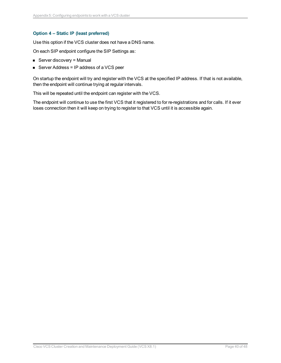#### **Option 4 – Static IP (least preferred)**

Use this option if the VCS cluster does not have a DNS name.

On each SIP endpoint configure the SIP Settings as:

- $\blacksquare$  Server discovery = Manual
- Server Address = IP address of a VCS peer

On startup the endpoint will try and register with the VCS at the specified IP address. If that is not available, then the endpoint will continue trying at regular intervals.

This will be repeated until the endpoint can register with the VCS.

The endpoint will continue to use the first VCS that it registered to for re-registrations and for calls. If it ever loses connection then it will keep on trying to register to that VCS until it is accessible again.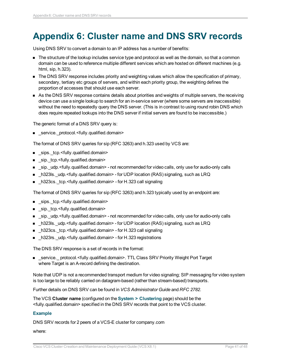## <span id="page-40-0"></span>**Appendix 6: Cluster name and DNS SRV records**

Using DNS SRV to convert a domain to an IP address has a number of benefits:

- n The structure of the lookup includes service type and protocol as well as the domain, so that a common domain can be used to reference multiple different services which are hosted on different machines (e.g. html, sip, h.323).
- **n** The DNS SRV response includes priority and weighting values which allow the specification of primary, secondary, tertiary etc groups of servers, and within each priority group, the weighting defines the proportion of accesses that should use each server.
- n As the DNS SRV response contains details about priorities and weights of multiple servers, the receiving device can use a single lookup to search for an in-service server (where some servers are inaccessible) without the need to repeatedly query the DNS server. (This is in contrast to using round robin DNS which does require repeated lookups into the DNS server if initial servers are found to be inaccessible.)

The generic format of a DNS SRV query is:

■ \_service.\_protocol.<fully.qualified.domain>

The format of DNS SRV queries for sip (RFC 3263) and h.323 used by VCS are:

- sips.\_tcp.<fully.qualified.domain>
- sip.\_tcp.<fully.qualified.domain>
- n sip. udp.<fully.qualified.domain> not recommended for video calls, only use for audio-only calls
- **n**  $h323$ ls. udp.<fully.qualified.domain> for UDP location (RAS) signaling, such as LRQ
- h323cs.\_tcp.<fully.qualified.domain> for H.323 call signaling

The format of DNS SRV queries for sip (RFC 3263) and h.323 typically used by an endpoint are:

- sips.\_tcp.<fully.qualified.domain>
- sip.\_tcp.<fully.qualified.domain>
- sip.\_udp.<fully.qualified.domain> not recommended for video calls, only use for audio-only calls
- h323ls. udp.<fully.qualified.domain> for UDP location (RAS) signaling, such as LRQ
- h323cs.\_tcp.<fully.qualified.domain> for H.323 call signaling
- h323rs.\_udp.<fully.qualified.domain> for H.323 registrations

The DNS SRV response is a set of records in the format:

■ service. protocol.<fully.qualified.domain>. TTL Class SRV Priority Weight Port Target where Target is an A-record defining the destination.

Note that UDP is not a recommended transport medium for video signaling; SIP messaging for video system is too large to be reliably carried on datagram-based (rather than stream-based) transports.

Further details on DNS SRV can be found in *VCS Administrator Guide* and *RFC 2782*.

The VCS **Cluster name** (configured on the **System > Clustering** page) should be the <fully.qualified.domain> specified in the DNS SRV records that point to the VCS cluster.

#### **Example**

DNS SRV records for 2 peers of a VCS-E cluster for company.com

where: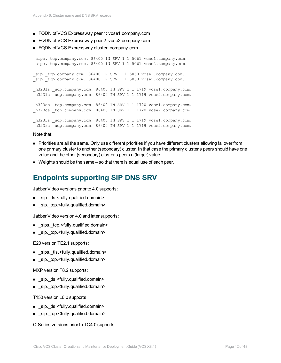- FQDN of VCS Expressway peer 1: vcse1.company.com
- FQDN of VCS Expressway peer 2: vcse2.company.com
- FQDN of VCS Expressway cluster: company.com

sips. tcp.company.com. 86400 IN SRV 1 1 5061 vcse1.company.com. sips. tcp.company.com. 86400 IN SRV 1 1 5061 vcse2.company.com. sip. tcp.company.com. 86400 IN SRV 1 1 5060 vcse1.company.com. sip. tcp.company.com. 86400 IN SRV 1 1 5060 vcse2.company.com. h323ls. udp.company.com. 86400 IN SRV 1 1 1719 vcse1.company.com. h323ls. udp.company.com. 86400 IN SRV 1 1 1719 vcse2.company.com. h323cs. tcp.company.com. 86400 IN SRV 1 1 1720 vcse1.company.com. h323cs. tcp.company.com. 86400 IN SRV 1 1 1720 vcse2.company.com. h323rs. udp.company.com. 86400 IN SRV 1 1 1719 vcse1.company.com. h323rs. udp.company.com. 86400 IN SRV 1 1 1719 vcse2.company.com.

#### Note that:

- n Priorities are all the same. Only use different priorities if you have different clusters allowing failover from one primary cluster to another (secondary) cluster. In that case the primary cluster's peers should have one value and the other (secondary) cluster's peers a (larger) value.
- <span id="page-41-0"></span> $\blacksquare$  Weights should be the same  $-$  so that there is equal use of each peer.

### **Endpoints supporting SIP DNS SRV**

Jabber Video versions prior to 4.0 supports:

- sip. tls.<fully.qualified.domain>
- \_sip.\_tcp.<fully.qualified.domain>

Jabber Video version 4.0 and later supports:

- sips. tcp.<fully.qualified.domain>
- sip.\_tcp.<fully.qualified.domain>

E20 version TE2.1 supports:

- \_sips.\_tls.<fully.qualified.domain>
- \_sip.\_tcp.<fully.qualified.domain>

MXP version F8.2 supports:

- sip. tls.<fully.qualified.domain>
- sip.\_tcp.<fully.qualified.domain>

T150 version L6.0 supports:

- sip.\_tls.<fully.qualified.domain>
- sip.\_tcp.<fully.qualified.domain>

C-Series versions prior to TC4.0 supports: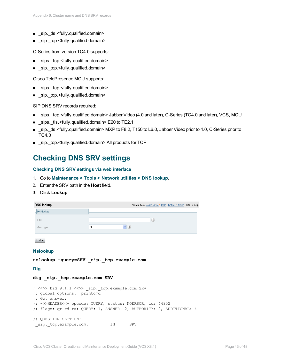- sip. tls.<fully.qualified.domain>
- sip. tcp.<fully.qualified.domain>

C-Series from version TC4.0 supports:

- \_sips.\_tcp.<fully.qualified.domain>
- \_sip.\_tcp.<fully.qualified.domain>

Cisco TelePresence MCU supports:

- \_sips.\_tcp.<fully.qualified.domain>
- sip.\_tcp.<fully.qualified.domain>

SIP DNS SRV records required:

- sips.\_tcp.<fully.qualified.domain> Jabber Video (4.0 and later), C-Series (TC4.0 and later), VCS, MCU
- sips. tls.<fully.qualified.domain> E20 to TE2.1
- sip. tls.<fully.qualified.domain> MXP to F8.2, T150 to L6.0, Jabber Video prior to 4.0, C-Series prior to TC4.0
- <span id="page-42-0"></span><sup>n</sup> \_sip.\_tcp.<fully.qualified.domain> All products for TCP

### **Checking DNS SRV settings**

#### **Checking DNS SRV settings via web interface**

- 1. Go to **Maintenance > Tools > Network utilities > DNS lookup**.
- 2. Enter the SRV path in the **Host** field.
- 3. Click **Lookup**.

| DNS lookup        | You are here: Maintenance * Tools * Network utilities * DNS lookup |
|-------------------|--------------------------------------------------------------------|
| <b>DNS lookup</b> |                                                                    |
| Host              | $\hat{t}$<br>All                                                   |
| Query type        |                                                                    |

Lookup

**Nslookup**

```
nslookup -query=SRV _sip._tcp.example.com
```
**Dig**

#### **dig \_sip.\_tcp.example.com SRV**

```
; <<>> DiG 9.4.1 <<>> _sip._tcp.example.com SRV
;; global options: printcmd
;; Got answer:
;; ->>HEADER<<- opcode: QUERY, status: NOERROR, id: 44952
;; flags: qr rd ra; QUERY: 1, ANSWER: 2, AUTHORITY: 2, ADDITIONAL: 4
;; QUESTION SECTION:
;_sip._tcp.example.com. IN SRV
```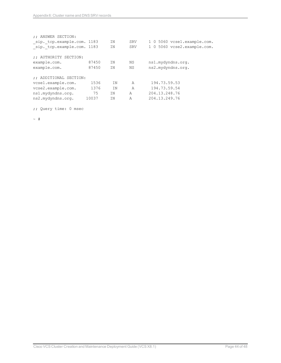| :: ANSWER SECTION:          |       |           |                |                             |
|-----------------------------|-------|-----------|----------------|-----------------------------|
| _sip._tcp.example.com. 1183 |       | ΤN        | SRV            | 1 0 5060 vcsel.example.com. |
| sip. tcp.example.com. 1183  |       | ΙN        | <b>SRV</b>     | 1 0 5060 vcse2.example.com. |
|                             |       |           |                |                             |
| :: AUTHORITY SECTION:       |       |           |                |                             |
| example.com.                | 87450 | ΤN        | ΝS             | ns1.mydyndns.org.           |
| example.com.                | 87450 | <b>TN</b> | ΝS             | ns2.mydyndns.org.           |
|                             |       |           |                |                             |
| :: ADDITIONAL SECTION:      |       |           |                |                             |
| vcsel.example.com.          | 1536  | ΤN        | A              | 194.73.59.53                |
| vcse2.example.com.          | 1376  | <b>TN</b> | $\overline{A}$ | 194.73.59.54                |
| ns1.mydyndns.org.           | 75    | <b>TN</b> | A              | 204.13.248.76               |
| ns2.mydyndns.org.           | 10037 | ΙN        | A              | 204.13.249.76               |
|                             |       |           |                |                             |

;; Query time: 0 msec

 $~\sim~$  #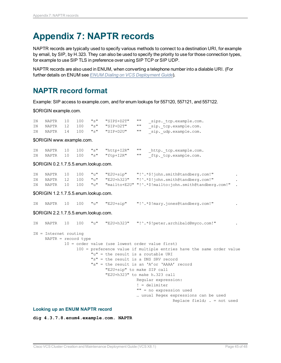## <span id="page-44-0"></span>**Appendix 7: NAPTR records**

NAPTR records are typically used to specify various methods to connect to a destination URI, for example by email, by SIP, by H.323. They can also be used to specify the priority to use for those connection types, for example to use SIP TLS in preference over using SIP TCP or SIP UDP.

NAPTR records are also used in ENUM, when converting a telephone number into a dialable URI. (For further details on ENUM see *ENUM Dialing on VCS [Deployment](http://www.cisco.com/en/US/products/ps11337/products_installation_and_configuration_guides_list.html) Guide*).

## <span id="page-44-1"></span>**NAPTR record format**

Example: SIP access to example.com, and for enum lookups for 557120, 557121, and 557122.

\$ORIGIN example.com.

| TN | NAPTR | 10 | 100 | "s" "SIPS+D2T"       | 11 H      | sips. tcp.example.com. |
|----|-------|----|-----|----------------------|-----------|------------------------|
| TN | NAPTR |    |     | 12 100 "s" "SIP+D2T" | - 11 11   | sip. tcp.example.com.  |
| ΤN | NAPTR |    |     | 14 100 "s" "SIP+D2U" | <b>HH</b> | sip. udp.example.com.  |

\$ORIGIN www.example.com.

|  |  | IN NAPTR 10 100 "s" "http+I2R" | $\mathbf{H}$ | http. tcp.example.com. |
|--|--|--------------------------------|--------------|------------------------|
|  |  | IN NAPTR 10 100 "s" "ftp+I2R"  | $\cdots$     | ftp. tcp.example.com.  |

#### \$ORIGIN 0.2.1.7.5.5.enum.lookup.com.

|  |  |  | IN NAPTR 10 100 "u" "E2U+sip" "!^.*\$!john.smith@tandberg.com!"             |  |
|--|--|--|-----------------------------------------------------------------------------|--|
|  |  |  | IN NAPTR 12 100 "u" "E2U+h323" "!^.*\$!john.smith@tandberg.com!"            |  |
|  |  |  | IN NAPTR 10 100 "u" "mailto+E2U" "!^.*\$!mailto:john.smith@tandberg.com!" . |  |

\$ORIGIN 1.2.1.7.5.5.enum.lookup.com.

IN NAPTR 10 100 "u" "E2U+sip" "!^.\*\$!mary.jones@tandberg.com!" .

#### \$ORIGIN 2.2.1.7.5.5.enum.lookup.com.

| <b>IN</b> |                         |  |  | NAPTR 10 100 "u" "E2U+h323" "!^.*\$!peter.archibald@myco.com!"       |  |
|-----------|-------------------------|--|--|----------------------------------------------------------------------|--|
|           | $IN = Internet routing$ |  |  |                                                                      |  |
|           | $NAPTR = record type$   |  |  |                                                                      |  |
|           |                         |  |  | 10 = order value (use lowest order value first)                      |  |
|           |                         |  |  | 100 = preference value if multiple entries have the same order value |  |
|           |                         |  |  | "u" = the result is a routable URI                                   |  |
|           |                         |  |  | "s" = the result is a DNS SRV record                                 |  |
|           |                         |  |  | "a" = the result is an 'A'or 'AAAA' record                           |  |
|           |                         |  |  | "E2U+sip" to make SIP call                                           |  |
|           |                         |  |  | "E2U+h323" to make h.323 call                                        |  |
|           |                         |  |  | Reqular expression:                                                  |  |
|           |                         |  |  | $!=$ delimiter                                                       |  |
|           |                         |  |  | "" = no expression used                                              |  |
|           |                         |  |  | usual Regex expressions can be used                                  |  |
|           |                         |  |  | Replace field; $=$ not used                                          |  |

#### **Looking up an ENUM NAPTR record**

**dig 4.3.7.8.enum4.example.com. NAPTR**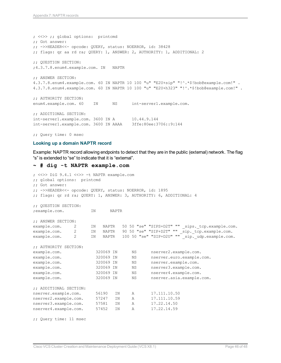; <<>> ;; global options: printcmd ;; Got answer: ;; ->>HEADER<<- opcode: QUERY, status: NOERROR, id: 38428 ;; flags: qr aa rd ra; QUERY: 1, ANSWER: 2, AUTHORITY: 1, ADDITIONAL: 2 ;; QUESTION SECTION: ;4.3.7.8.enum4.example.com. IN NAPTR ;; ANSWER SECTION: 4.3.7.8.enum4.example.com. 60 IN NAPTR 10 100 "u" "E2U+sip" "!^.\*\$!bob@example.com!" . 4.3.7.8.enum4.example.com. 60 IN NAPTR 10 100 "u" "E2U+h323" "!^.\*\$!bob@example.com!" . ;; AUTHORITY SECTION: enum4.example.com. 60 IN NS int-server1.example.com. ;; ADDITIONAL SECTION: int-server1.example.com. 3600 IN A 10.44.9.144 int-server1.example.com. 3600 IN AAAA 3ffe:80ee:3706::9:144

;; Query time: 0 msec

#### **Looking up a domain NAPTR record**

Example: NAPTR record allowing endpoints to detect that they are in the public (external) network. The flag "s" is extended to "se" to indicate that it is "external".

#### **~ # dig -t NAPTR example.com**

```
; <<>> DiG 9.4.1 <<>> -t NAPTR example.com
;; global options: printcmd
;; Got answer:
;; ->>HEADER<<- opcode: QUERY, status: NOERROR, id: 1895
;; flags: qr rd ra; QUERY: 1, ANSWER: 3, AUTHORITY: 6, ADDITIONAL: 4
;; QUESTION SECTION:
;example.com. IN NAPTR
;; ANSWER SECTION:
example.com. 2 IN NAPTR 50 50 "se" "SIPS+D2T" "" _sips. tcp.example.com.
example.com. 2 IN NAPTR 90 50 "se" "SIP+D2T" "" _sip._tcp.example.com.
example.com. 2 IN NAPTR 100 50 "se" "SIP+D2U" "" sip. udp.example.com.
;; AUTHORITY SECTION:
example.com. 320069 IN NS nserver2.example.com.<br>example.com. 320069 IN NS nserver.euro.example.
example.com. 320069 IN NS nserver.euro.example.com.
example.com. 320069 IN NS nserver.example.com.
example.com. 320069 IN NS nserver3.example.com.
example.com. 320069 IN NS nserver4.example.com.
example.com. 320069 IN NS nserver.asia.example.com.
;; ADDITIONAL SECTION:
nserver.example.com. 56190 IN A 17.111.10.50
nserver2.example.com. 57247 IN A 17.111.10.59
nserver3.example.com. 57581 IN A 17.22.14.50
nserver4.example.com. 57452 IN A 17.22.14.59
;; Query time: 11 msec
```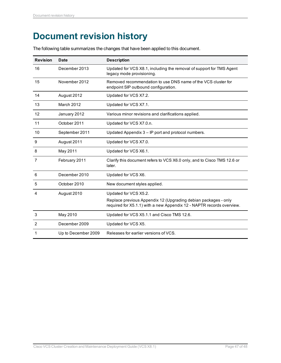## <span id="page-46-0"></span>**Document revision history**

The following table summarizes the changes that have been applied to this document.

| <b>Revision</b> | <b>Date</b>         | <b>Description</b>                                                                                                                      |
|-----------------|---------------------|-----------------------------------------------------------------------------------------------------------------------------------------|
| 16              | December 2013       | Updated for VCS X8.1, including the removal of support for TMS Agent<br>legacy mode provisioning.                                       |
| 15              | November 2012       | Removed recommendation to use DNS name of the VCS cluster for<br>endpoint SIP outbound configuration.                                   |
| 14              | August 2012         | Updated for VCS X7.2.                                                                                                                   |
| 13              | <b>March 2012</b>   | Updated for VCS X7.1.                                                                                                                   |
| 12              | January 2012        | Various minor revisions and clarifications applied.                                                                                     |
| 11              | October 2011        | Updated for VCS X7.0.n.                                                                                                                 |
| 10              | September 2011      | Updated Appendix 3 - IP port and protocol numbers.                                                                                      |
| 9               | August 2011         | Updated for VCS X7.0.                                                                                                                   |
| 8               | May 2011            | Updated for VCS X6.1.                                                                                                                   |
| 7               | February 2011       | Clarify this document refers to VCS X6.0 only, and to Cisco TMS 12.6 or<br>later.                                                       |
| 6               | December 2010       | Updated for VCS X6.                                                                                                                     |
| 5               | October 2010        | New document styles applied.                                                                                                            |
| 4               | August 2010         | Updated for VCS X5.2.                                                                                                                   |
|                 |                     | Replace previous Appendix 12 (Upgrading debian packages - only<br>required for X5.1.1) with a new Appendix 12 - NAPTR records overview. |
| 3               | May 2010            | Updated for VCS X5.1.1 and Cisco TMS 12.6.                                                                                              |
| 2               | December 2009       | Updated for VCS X5.                                                                                                                     |
| 1               | Up to December 2009 | Releases for earlier versions of VCS.                                                                                                   |